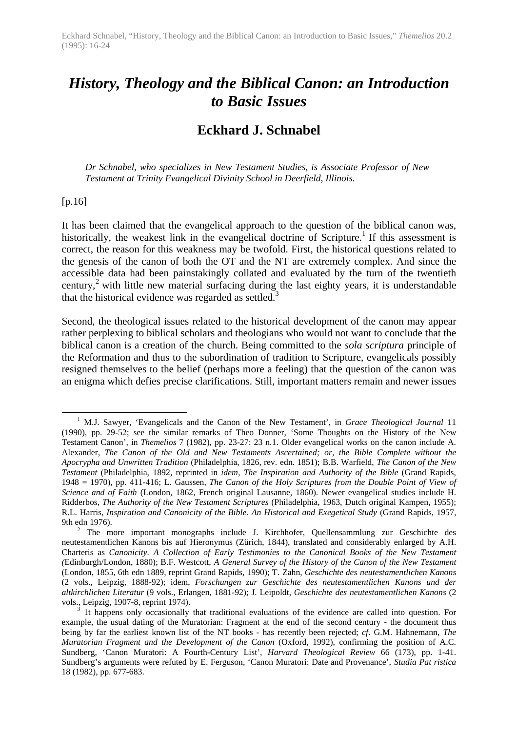# *History, Theology and the Biblical Canon: an Introduction to Basic Issues*

# **Eckhard J. Schnabel**

*Dr Schnabel, who specializes in New Testament Studies, is Associate Professor of New Testament at Trinity Evangelical Divinity School in Deerfield, Illinois.*

#### [p.16]

 $\overline{a}$ 

It has been claimed that the evangelical approach to the question of the biblical canon was, historically, the weakest link in the evangelical doctrine of Scripture.<sup>1</sup> If this assessment is correct, the reason for this weakness may be twofold. First, the historical questions related to the genesis of the canon of both the OT and the NT are extremely complex. And since the accessible data had been painstakingly collated and evaluated by the turn of the twentieth century,<sup>2</sup> with little new material surfacing during the last eighty years, it is understandable that the historical evidence was regarded as settled.<sup>3</sup>

Second, the theological issues related to the historical development of the canon may appear rather perplexing to biblical scholars and theologians who would not want to conclude that the biblical canon is a creation of the church. Being committed to the *sola scriptura* principle of the Reformation and thus to the subordination of tradition to Scripture, evangelicals possibly resigned themselves to the belief (perhaps more a feeling) that the question of the canon was an enigma which defies precise clarifications. Still, important matters remain and newer issues

<sup>1</sup> M.J. Sawyer, 'Evangelicals and the Canon of the New Testament', in *Grace Theological Journal* 11 (1990), pp. 29-52; see the similar remarks of Theo Donner, 'Some Thoughts on the History of the New Testament Canon', in *Themelios* 7 (1982), pp. 23-27: 23 n.1. Older evangelical works on the canon include A. Alexander, *The Canon of the Old and New Testaments Ascertained; or, the Bible Complete without the Apocrypha and Unwritten Tradition* (Philadelphia, 1826, rev. edn. 1851); B.B. Warfield, *The Canon of the New Testament* (Philadelphia, 1892, reprinted in *idem, The Inspiration and Authority of the Bible* (Grand Rapids, 1948 = 1970), pp. 411-416; L. Gaussen, *The Canon of the Holy Scriptures from the Double Point of View of Science and of Faith* (London, 1862, French original Lausanne, 1860). Newer evangelical studies include H. Ridderbos, *The Authority of the New Testament Scriptures* (Philadelphia, 1963, Dutch original Kampen, 1955); R.L. Harris, *Inspiration and Canonicity of the Bible. An Historical and Exegetical Study* (Grand Rapids, 1957, 9th edn 1976).

<sup>2</sup> The more important monographs include J. Kirchhofer, Quellensammlung zur Geschichte des neutestamentlichen Kanons bis auf Hieronymus (Zürich, 1844), translated and considerably enlarged by A.H. Charteris as *Canonicity. A Collection of Early Testimonies to the Canonical Books of the New Testament (*Edinburgh/London, 1880); B.F. Westcott, *A General Survey of the History of the Canon of the New Testament* (London, 1855, 6th edn 1889, reprint Grand Rapids, 1990); T. Zahn, *Geschichte des neutestamentlichen Kanons* (2 vols., Leipzig, 1888-92); idem, *Forschungen zur Geschichte des neutestamentlichen Kanons und der altkirchlichen Literatur* (9 vols., Erlangen, 1881-92); J. Leipoldt, *Geschichte des neutestamentlichen Kanons* (2 vols., Leipzig, 1907-8, reprint 1974).

<sup>3</sup> 1t happens only occasionally that traditional evaluations of the evidence are called into question. For example, the usual dating of the Muratorian: Fragment at the end of the second century - the document thus being by far the earliest known list of the NT books - has recently been rejected; *cf*. G.M. Hahnemann, *The Muratorian Fragment and the Development of the Canon* (Oxford, 1992), confirming the position of A.C. Sundberg, 'Canon Muratori: A Fourth-Century List', *Harvard Theological Review* 66 (173), pp. 1-41. Sundberg's arguments were refuted by E. Ferguson, 'Canon Muratori: Date and Provenance', *Studia Pat ristica* 18 (1982), pp. 677-683.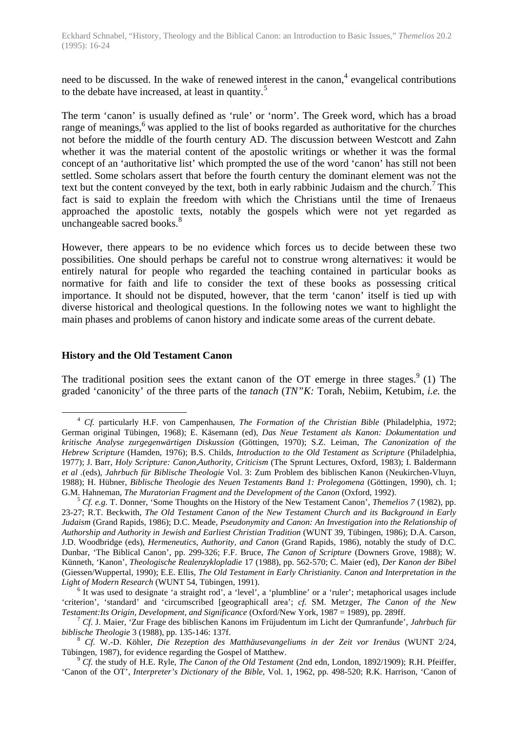need to be discussed. In the wake of renewed interest in the canon,  $4$  evangelical contributions to the debate have increased, at least in quantity.<sup>5</sup>

The term 'canon' is usually defined as 'rule' or 'norm'. The Greek word, which has a broad range of meanings, $6$  was applied to the list of books regarded as authoritative for the churches not before the middle of the fourth century AD. The discussion between Westcott and Zahn whether it was the material content of the apostolic writings or whether it was the formal concept of an 'authoritative list' which prompted the use of the word 'canon' has still not been settled. Some scholars assert that before the fourth century the dominant element was not the text but the content conveyed by the text, both in early rabbinic Judaism and the church.<sup>7</sup> This fact is said to explain the freedom with which the Christians until the time of Irenaeus approached the apostolic texts, notably the gospels which were not yet regarded as unchangeable sacred books.<sup>8</sup>

However, there appears to be no evidence which forces us to decide between these two possibilities. One should perhaps be careful not to construe wrong alternatives: it would be entirely natural for people who regarded the teaching contained in particular books as normative for faith and life to consider the text of these books as possessing critical importance. It should not be disputed, however, that the term 'canon' itself is tied up with diverse historical and theological questions. In the following notes we want to highlight the main phases and problems of canon history and indicate some areas of the current debate.

#### **History and the Old Testament Canon**

 $\overline{a}$ 

The traditional position sees the extant canon of the OT emerge in three stages.  $9(1)$  The graded 'canonicity' of the three parts of the *tanach* (*TN"K:* Torah, Nebiim, Ketubim, *i.e.* the

<sup>4</sup> *Cf.* particularly H.F. von Campenhausen, *The Formation of the Christian Bible* (Philadelphia, 1972; German original Tübingen, 1968); E. Käsemann (ed), *Das Neue Testament als Kanon: Dokumentation und kritische Analyse zurgegenwärtigen Diskussion* (Göttingen, 1970); S.Z. Leiman, *The Canonization of the Hebrew Scripture* (Hamden, 1976); B.S. Childs, *Introduction to the Old Testament as Scripture* (Philadelphia, 1977); J. Barr, *Holy Scripture: Canon,Authority, Criticism* (The Sprunt Lectures, Oxford, 1983); I. Baldermann *et al .*(eds), *Jahrbuch für Biblische Theologie* Vol. 3: Zum Problem des biblischen Kanon (Neukirchen-Vluyn, 1988); H. Hübner, *Biblische Theologie des Neuen Testaments Band 1: Prolegomena* (Göttingen, 1990), ch. 1; G.M. Hahneman, *The Muratorian Fragment and the Development of the Canon* (Oxford, 1992).

<sup>5</sup> *Cf. e.g.* T. Donner, 'Some Thoughts on the History of the New Testament Canon', *Themelios 7* (1982), pp. 23-27; R.T. Beckwith, *The Old Testament Canon of the New Testament Church and its Background in Early Judaism* (Grand Rapids, 1986); D.C. Meade, *Pseudonymity and Canon: An Investigation into the Relationship of Authorship and Authority in Jewish and Earliest Christian Tradition* (WUNT 39, Tübingen, 1986); D.A. Carson, J.D. Woodbridge (eds), *Hermeneutics, Authority, and Canon* (Grand Rapids, 1986), notably the study of D.C. Dunbar, 'The Biblical Canon', pp. 299-326; F.F. Bruce, *The Canon of Scripture* (Downers Grove, 1988); W. Künneth, 'Kanon', *Theologische Realenzyklopladie* 17 (1988), pp. 562-570; C. Maier (ed), *Der Kanon der Bibel* (Giessen/Wuppertal, 1990); E.E. Ellis, *The Old Testament in Early Christianity. Canon and Interpretation in the Light of Modern Research* (WUNT 54, Tübingen, 1991).

 $6$  It was used to designate 'a straight rod', a 'level', a 'plumbline' or a 'ruler'; metaphorical usages include 'criterion', 'standard' and 'circumscribed [geographicall area'; *cf.* SM. Metzger, *The Canon of the New Testament:Its Origin, Development, and Significance* (Oxford/New York, 1987 = 1989), pp. 289ff.

<sup>7</sup> *Cf.* J. Maier, 'Zur Frage des biblischen Kanons im Früjudentum im Licht der Qumranfunde', *Jahrbuch für biblische Theologie* 3 (1988), pp. 135-146: 137f.

<sup>8</sup> *Cf.* W.-D. Köhler, *Die Rezeption des Matthäusevangeliums in der Zeit vor Irenäus* (WUNT 2/24, Tübingen, 1987), for evidence regarding the Gospel of Matthew.

<sup>&</sup>lt;sup>9</sup> *Cf.* the study of H.E. Ryle, *The Canon of the Old Testament* (2nd edn, London, 1892/1909); R.H. Pfeiffer, 'Canon of the OT', *Interpreter's Dictionary of the Bible,* Vol. 1, 1962, pp. 498-520; R.K. Harrison, 'Canon of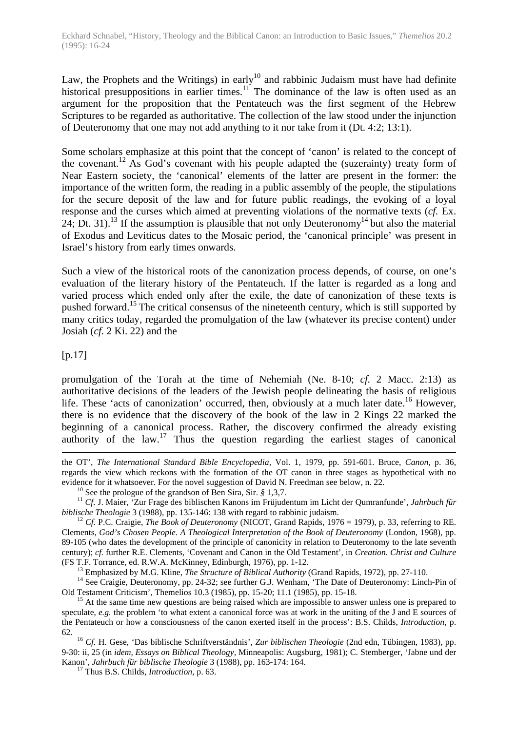Law, the Prophets and the Writings) in early<sup>10</sup> and rabbinic Judaism must have had definite historical presuppositions in earlier times.<sup>11</sup> The dominance of the law is often used as an argument for the proposition that the Pentateuch was the first segment of the Hebrew Scriptures to be regarded as authoritative. The collection of the law stood under the injunction of Deuteronomy that one may not add anything to it nor take from it (Dt. 4:2; 13:1).

Some scholars emphasize at this point that the concept of 'canon' is related to the concept of the covenant.<sup>12</sup> As God's covenant with his people adapted the (suzerainty) treaty form of Near Eastern society, the 'canonical' elements of the latter are present in the former: the importance of the written form, the reading in a public assembly of the people, the stipulations for the secure deposit of the law and for future public readings, the evoking of a loyal response and the curses which aimed at preventing violations of the normative texts (*cf.* Ex. 24; Dt. 31).<sup>13</sup> If the assumption is plausible that not only Deuteronomy<sup>14</sup> but also the material of Exodus and Leviticus dates to the Mosaic period, the 'canonical principle' was present in Israel's history from early times onwards.

Such a view of the historical roots of the canonization process depends, of course, on one's evaluation of the literary history of the Pentateuch. If the latter is regarded as a long and varied process which ended only after the exile, the date of canonization of these texts is pushed forward.<sup>15</sup> The critical consensus of the nineteenth century, which is still supported by many critics today, regarded the promulgation of the law (whatever its precise content) under Josiah (*cf.* 2 Ki. 22) and the

[p.17]

 $\overline{a}$ 

promulgation of the Torah at the time of Nehemiah (Ne. 8-10; *cf.* 2 Macc. 2:13) as authoritative decisions of the leaders of the Jewish people delineating the basis of religious life. These 'acts of canonization' occurred, then, obviously at a much later date.<sup>16</sup> However, there is no evidence that the discovery of the book of the law in 2 Kings 22 marked the beginning of a canonical process. Rather, the discovery confirmed the already existing authority of the law.<sup>17</sup> Thus the question regarding the earliest stages of canonical

the OT', *The International Standard Bible Encyclopedia,* Vol. 1, 1979, pp. 591-601. Bruce, *Canon,* p. 36, regards the view which reckons with the formation of the OT canon in three stages as hypothetical with no evidence for it whatsoever. For the novel suggestion of David N. Freedman see below, n. 22.

<sup>10</sup> See the prologue of the grandson of Ben Sira, Sir. *§* 1,3,7.

<sup>11</sup> *Cf*. J. Maier, 'Zur Frage des biblischen Kanons im Früjudentum im Licht der Qumranfunde', *Jahrbuch für biblische Theologie* 3 (1988), pp. 135-146: 138 with regard to rabbinic judaism.

<sup>&</sup>lt;sup>12</sup> *Cf.* P.C. Craigie, *The Book of Deuteronomy* (NICOT, Grand Rapids, 1976 = 1979), p. 33, referring to RE. Clements, *God's Chosen People. A Theological Interpretation of the Book of Deuteronomy* (London, 1968), pp. 89-105 (who dates the development of the principle of canonicity in relation to Deuteronomy to the late seventh century); *cf.* further R.E. Clements, 'Covenant and Canon in the Old Testament', in *Creation. Christ and Culture* (FS T.F. Torrance, ed. R.W.A. McKinney, Edinburgh, 1976), pp. 1-12.

<sup>13</sup> Emphasized by M.G. Kline, *The Structure of Biblical Authority* (Grand Rapids, 1972), pp. 27-110.

<sup>&</sup>lt;sup>14</sup> See Craigie, Deuteronomy, pp. 24-32; see further G.J. Wenham, 'The Date of Deuteronomy: Linch-Pin of Old Testament Criticism', Themelios 10.3 (1985), pp. 15-20; 11.1 (1985), pp. 15-18.

<sup>&</sup>lt;sup>15</sup> At the same time new questions are being raised which are impossible to answer unless one is prepared to speculate, *e.g.* the problem 'to what extent a canonical force was at work in the uniting of the J and E sources of the Pentateuch or how a consciousness of the canon exerted itself in the process': B.S. Childs, *Introduction,* p. 62.

<sup>16</sup> *Cf.* H. Gese, 'Das biblische Schriftverständnis', *Zur biblischen Theologie* (2nd edn, Tübingen, 1983), pp. 9-30: ii, 25 (in *idem, Essays on Biblical Theology,* Minneapolis: Augsburg, 1981); C. Stemberger, 'Jabne und der Kanon', *Jahrbuch für biblische Theologie* 3 (1988), pp. 163-174: 164.

<sup>17</sup> Thus B.S. Childs, *Introduction,* p. 63.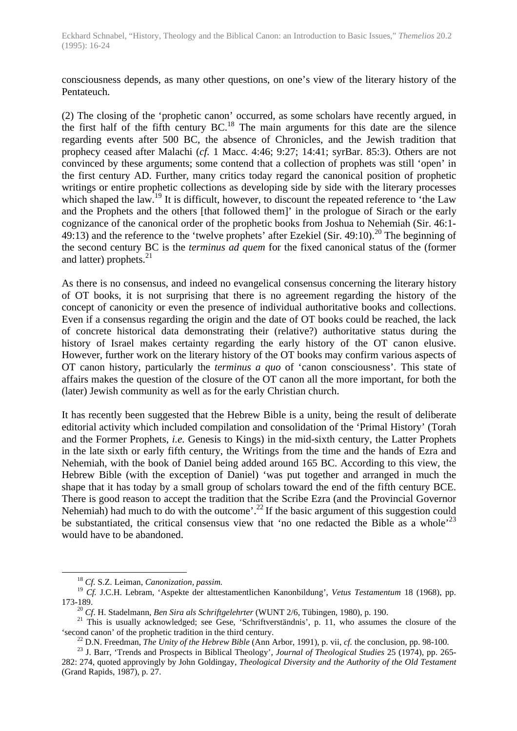consciousness depends, as many other questions, on one's view of the literary history of the Pentateuch.

(2) The closing of the 'prophetic canon' occurred, as some scholars have recently argued, in the first half of the fifth century BC.<sup>18</sup> The main arguments for this date are the silence regarding events after 500 BC, the absence of Chronicles, and the Jewish tradition that prophecy ceased after Malachi (*cf.* 1 Macc. 4:46; 9:27; 14:41; syrBar. 85:3). Others are not convinced by these arguments; some contend that a collection of prophets was still 'open' in the first century AD. Further, many critics today regard the canonical position of prophetic writings or entire prophetic collections as developing side by side with the literary processes which shaped the law.<sup>19</sup> It is difficult, however, to discount the repeated reference to 'the Law and the Prophets and the others [that followed them]' in the prologue of Sirach or the early cognizance of the canonical order of the prophetic books from Joshua to Nehemiah (Sir. 46:1- 49:13) and the reference to the 'twelve prophets' after Ezekiel (Sir. 49:10).<sup>20</sup> The beginning of the second century BC is the *terminus ad quem* for the fixed canonical status of the (former and latter) prophets. $^{21}$ 

As there is no consensus, and indeed no evangelical consensus concerning the literary history of OT books, it is not surprising that there is no agreement regarding the history of the concept of canonicity or even the presence of individual authoritative books and collections. Even if a consensus regarding the origin and the date of OT books could be reached, the lack of concrete historical data demonstrating their (relative?) authoritative status during the history of Israel makes certainty regarding the early history of the OT canon elusive. However, further work on the literary history of the OT books may confirm various aspects of OT canon history, particularly the *terminus a quo* of 'canon consciousness'. This state of affairs makes the question of the closure of the OT canon all the more important, for both the (later) Jewish community as well as for the early Christian church.

It has recently been suggested that the Hebrew Bible is a unity, being the result of deliberate editorial activity which included compilation and consolidation of the 'Primal History' (Torah and the Former Prophets, *i.e.* Genesis to Kings) in the mid-sixth century, the Latter Prophets in the late sixth or early fifth century, the Writings from the time and the hands of Ezra and Nehemiah, with the book of Daniel being added around 165 BC. According to this view, the Hebrew Bible (with the exception of Daniel) 'was put together and arranged in much the shape that it has today by a small group of scholars toward the end of the fifth century BCE. There is good reason to accept the tradition that the Scribe Ezra (and the Provincial Governor Nehemiah) had much to do with the outcome'.<sup>22</sup> If the basic argument of this suggestion could be substantiated, the critical consensus view that 'no one redacted the Bible as a whole'<sup>23</sup> would have to be abandoned.

<sup>18</sup> *Cf.* S.Z. Leiman, *Canonization, passim.*

<sup>19</sup> *Cf.* J.C.H. Lebram, 'Aspekte der alttestamentlichen Kanonbildung', *Vetus Testamentum* 18 (1968), pp. 173-189.

<sup>20</sup> *Cf*. H. Stadelmann, *Ben Sira als Schriftgelehrter* (WUNT 2/6, Tübingen, 1980), p. 190.

<sup>&</sup>lt;sup>21</sup> This is usually acknowledged; see Gese, 'Schriftverständnis', p. 11, who assumes the closure of the 'second canon' of the prophetic tradition in the third century.

<sup>22</sup> D.N. Freedman, *The Unity of the Hebrew Bible* (Ann Arbor, 1991), p. vii, *cf.* the conclusion, pp. 98-100.

<sup>23</sup> J. Barr, 'Trends and Prospects in Biblical Theology', *Journal of Theological Studies* 25 (1974), pp. 265- 282: 274, quoted approvingly by John Goldingay, *Theological Diversity and the Authority of the Old Testament* (Grand Rapids, 1987), p. 27.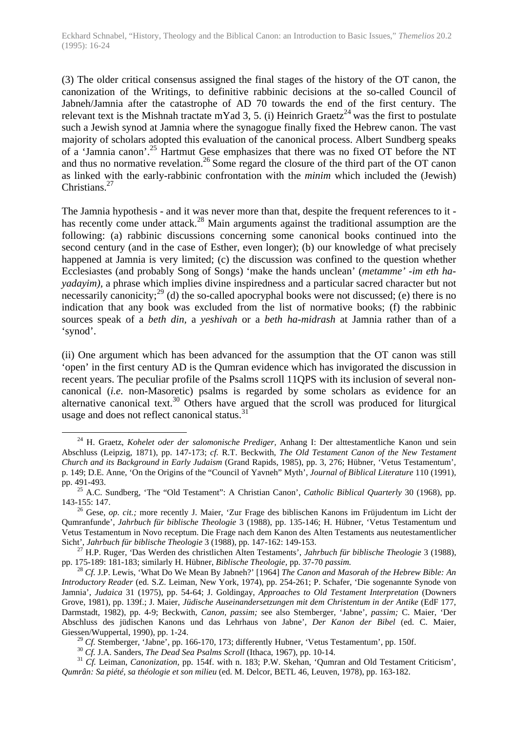(3) The older critical consensus assigned the final stages of the history of the OT canon, the canonization of the Writings, to definitive rabbinic decisions at the so-called Council of Jabneh/Jamnia after the catastrophe of AD 70 towards the end of the first century. The relevant text is the Mishnah tractate mYad 3, 5. (i) Heinrich Graetz<sup>24</sup> was the first to postulate such a Jewish synod at Jamnia where the synagogue finally fixed the Hebrew canon. The vast majority of scholars adopted this evaluation of the canonical process. Albert Sundberg speaks of a 'Jamnia canon'.<sup>25</sup> Hartmut Gese emphasizes that there was no fixed OT before the NT and thus no normative revelation.<sup>26</sup> Some regard the closure of the third part of the OT canon as linked with the early-rabbinic confrontation with the *minim* which included the (Jewish) Christians.<sup>27</sup>

The Jamnia hypothesis - and it was never more than that, despite the frequent references to it has recently come under attack.<sup>28</sup> Main arguments against the traditional assumption are the following: (a) rabbinic discussions concerning some canonical books continued into the second century (and in the case of Esther, even longer); (b) our knowledge of what precisely happened at Jamnia is very limited; (c) the discussion was confined to the question whether Ecclesiastes (and probably Song of Songs) 'make the hands unclean' (*metamme'* -*im eth hayadayim),* a phrase which implies divine inspiredness and a particular sacred character but not necessarily canonicity;<sup>29</sup> (d) the so-called apocryphal books were not discussed; (e) there is no indication that any book was excluded from the list of normative books; (f) the rabbinic sources speak of a *beth din,* a *yeshivah* or a *beth ha-midrash* at Jamnia rather than of a 'synod'.

(ii) One argument which has been advanced for the assumption that the OT canon was still 'open' in the first century AD is the Qumran evidence which has invigorated the discussion in recent years. The peculiar profile of the Psalms scroll 11QPS with its inclusion of several noncanonical (*i.e.* non-Masoretic) psalms is regarded by some scholars as evidence for an alternative canonical text.<sup>30</sup> Others have argued that the scroll was produced for liturgical usage and does not reflect canonical status.<sup>31</sup>

<sup>24</sup> H. Graetz, *Kohelet oder der salomonische Prediger,* Anhang I: Der alttestamentliche Kanon und sein Abschluss (Leipzig, 1871), pp. 147-173; *cf.* R.T. Beckwith, *The Old Testament Canon of the New Testament Church and its Background in Early Judaism* (Grand Rapids, 1985), pp. 3, 276; Hübner, 'Vetus Testamentum', p. 149; D.E. Anne, 'On the Origins of the "Council of Yavneh" Myth', *Journal of Biblical Literature* 110 (1991), pp. 491-493.

<sup>25</sup> A.C. Sundberg, 'The "Old Testament": A Christian Canon', *Catholic Biblical Quarterly* 30 (1968), pp. 143-155: 147.

<sup>26</sup> Gese, *op. cit.;* more recently J. Maier, 'Zur Frage des biblischen Kanons im Früjudentum im Licht der Qumranfunde', *Jahrbuch für biblische Theologie* 3 (1988), pp. 135-146; H. Hübner, 'Vetus Testamentum und Vetus Testamentum in Novo receptum. Die Frage nach dem Kanon des Alten Testaments aus neutestamentlicher Sicht', *Jahrbuch für biblische Theologie* 3 (1988), pp. 147-162: 149-153.

<sup>27</sup> H.P. Ruger, 'Das Werden des christlichen Alten Testaments', *Jahrbuch für biblische Theologie* 3 (1988), pp. 175-189: 181-183; similarly H. Hübner, *Biblische Theologie,* pp. 37-70 *passim.*

<sup>28</sup> *Cf.* J.P. Lewis, 'What Do We Mean By Jabneh?' [1964] *The Canon and Masorah of the Hebrew Bible: An Introductory Reader* (ed. S.Z. Leiman, New York, 1974), pp. 254-261; P. Schafer, 'Die sogenannte Synode von Jamnia', *Judaica* 31 (1975), pp. 54-64; J. Goldingay, *Approaches to Old Testament Interpretation* (Downers Grove, 1981), pp. 139f.; J. Maier, *Jüdische Auseinandersetzungen mit dem Christentum in der Antike* (EdF 177, Darmstadt, 1982), pp. 4-9; Beckwith, *Canon, passim;* see also Stemberger, 'Jabne', *passim;* C. Maier, 'Der Abschluss des jüdischen Kanons und das Lehrhaus von Jabne', *Der Kanon der Bibel* (ed. C. Maier, Giessen/Wuppertal, 1990), pp. 1-24.

<sup>&</sup>lt;sup>29</sup> *Cf.* Stemberger, 'Jabne', pp. 166-170, 173; differently Hubner, 'Vetus Testamentum', pp. 150f.

<sup>30</sup> *Cf.* J.A. Sanders, *The Dead Sea Psalms Scroll* (Ithaca, 1967), pp. 10-14.

<sup>&</sup>lt;sup>31</sup> *Cf.* Leiman, *Canonization*, pp. 154f. with n. 183; P.W. Skehan, 'Qumran and Old Testament Criticism', *Qumrân: Sa piété, sa théologie et son milieu* (ed. M. Delcor, BETL 46, Leuven, 1978), pp. 163-182.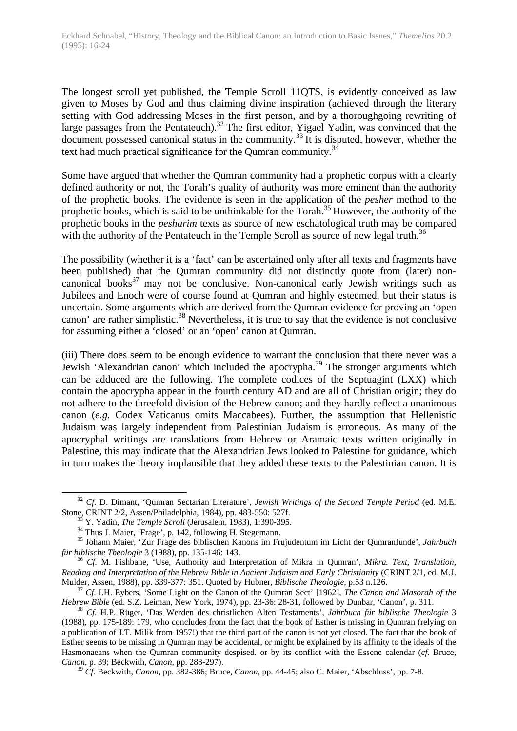The longest scroll yet published, the Temple Scroll 11QTS, is evidently conceived as law given to Moses by God and thus claiming divine inspiration (achieved through the literary setting with God addressing Moses in the first person, and by a thoroughgoing rewriting of large passages from the Pentateuch).<sup>32</sup> The first editor, Yigael Yadin, was convinced that the document possessed canonical status in the community.<sup>33</sup> It is disputed, however, whether the text had much practical significance for the Qumran community.<sup>3</sup>

Some have argued that whether the Qumran community had a prophetic corpus with a clearly defined authority or not, the Torah's quality of authority was more eminent than the authority of the prophetic books. The evidence is seen in the application of the *pesher* method to the prophetic books, which is said to be unthinkable for the Torah.<sup>35</sup> However, the authority of the prophetic books in the *pesharim* texts as source of new eschatological truth may be compared with the authority of the Pentateuch in the Temple Scroll as source of new legal truth.<sup>36</sup>

The possibility (whether it is a 'fact' can be ascertained only after all texts and fragments have been published) that the Qumran community did not distinctly quote from (later) noncanonical books $37$  may not be conclusive. Non-canonical early Jewish writings such as Jubilees and Enoch were of course found at Qumran and highly esteemed, but their status is uncertain. Some arguments which are derived from the Qumran evidence for proving an 'open canon' are rather simplistic.<sup>38</sup> Nevertheless, it is true to say that the evidence is not conclusive for assuming either a 'closed' or an 'open' canon at Qumran.

(iii) There does seem to be enough evidence to warrant the conclusion that there never was a Jewish 'Alexandrian canon' which included the apocrypha.<sup>39</sup> The stronger arguments which can be adduced are the following. The complete codices of the Septuagint (LXX) which contain the apocrypha appear in the fourth century AD and are all of Christian origin; they do not adhere to the threefold division of the Hebrew canon; and they hardly reflect a unanimous canon (*e.g.* Codex Vaticanus omits Maccabees). Further, the assumption that Hellenistic Judaism was largely independent from Palestinian Judaism is erroneous. As many of the apocryphal writings are translations from Hebrew or Aramaic texts written originally in Palestine, this may indicate that the Alexandrian Jews looked to Palestine for guidance, which in turn makes the theory implausible that they added these texts to the Palestinian canon. It is

<sup>32</sup> *Cf.* D. Dimant, 'Qumran Sectarian Literature', *Jewish Writings of the Second Temple Period* (ed. M.E. Stone, CRINT 2/2, Assen/Philadelphia, 1984), pp. 483-550: 527f.

<sup>33</sup> Y. Yadin, *The Temple Scroll* (Jerusalem, 1983), 1:390-395.

<sup>&</sup>lt;sup>34</sup> Thus J. Maier, 'Frage', p. 142, following H. Stegemann.

<sup>35</sup> Johann Maier, 'Zur Frage des biblischen Kanons im Frujudentum im Licht der Qumranfunde', *Jahrbuch für biblische Theologie* 3 (1988), pp. 135-146: 143.

<sup>36</sup> *Cf.* M. Fishbane, 'Use, Authority and Interpretation of Mikra in Qumran', *Mikra. Text, Translation, Reading and Interpretation of the Hebrew Bible in Ancient Judaism and Early Christianity* (CRINT 2/1, ed. M.J. Mulder, Assen, 1988), pp. 339-377: 351. Quoted by Hubner, *Biblische Theologie,* p.53 n.126.

<sup>37</sup> *Cf*. I.H. Eybers, 'Some Light on the Canon of the Qumran Sect' [1962], *The Canon and Masorah of the Hebrew Bible* (ed. S.Z. Leiman, New York, 1974), pp. 23-36: 28-31, followed by Dunbar, 'Canon', p. 311.

<sup>38</sup> *Cf*. H.P. Rüger, 'Das Werden des christlichen Alten Testaments', *Jahrbuch für biblische Theologie* 3 (1988), pp. 175-189: 179, who concludes from the fact that the book of Esther is missing in Qumran (relying on a publication of J.T. Milik from 1957!) that the third part of the canon is not yet closed. The fact that the book of Esther seems to be missing in Qumran may be accidental, or might be explained by its affinity to the ideals of the Hasmonaeans when the Qumran community despised. or by its conflict with the Essene calendar (*cf.* Bruce, *Canon,* p. 39; Beckwith, *Canon,* pp. 288-297).

<sup>39</sup> *Cf.* Beckwith, *Canon,* pp. 382-386; Bruce, *Canon,* pp. 44-45; also C. Maier, 'Abschluss', pp. 7-8.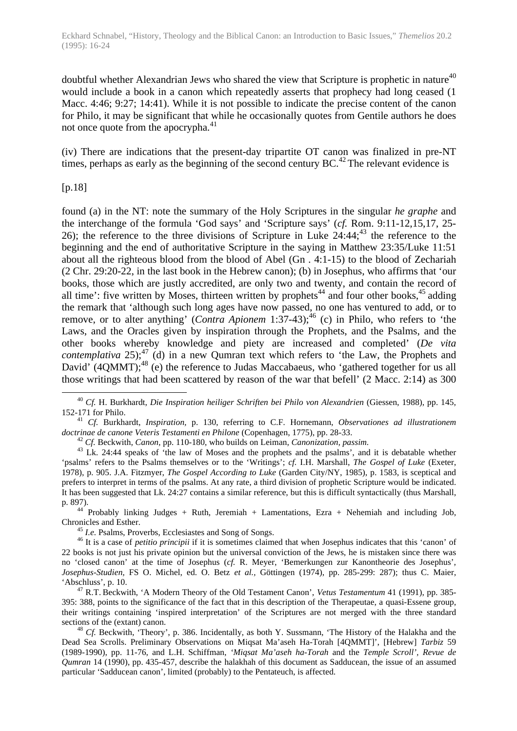doubtful whether Alexandrian Jews who shared the view that Scripture is prophetic in nature $40$ would include a book in a canon which repeatedly asserts that prophecy had long ceased (1 Macc. 4:46; 9:27; 14:41). While it is not possible to indicate the precise content of the canon for Philo, it may be significant that while he occasionally quotes from Gentile authors he does not once quote from the apocrypha. $41$ 

(iv) There are indications that the present-day tripartite OT canon was finalized in pre-NT times, perhaps as early as the beginning of the second century  $BC<sup>42</sup>$ . The relevant evidence is

[p.18]

 $\overline{a}$ 

found (a) in the NT: note the summary of the Holy Scriptures in the singular *he graphe* and the interchange of the formula 'God says' and 'Scripture says' (*cf.* Rom. 9:11-12,15,17, 25- 26); the reference to the three divisions of Scripture in Luke  $24:44$ ;  $43$  the reference to the beginning and the end of authoritative Scripture in the saying in Matthew 23:35/Luke 11:51 about all the righteous blood from the blood of Abel (Gn . 4:1-15) to the blood of Zechariah (2 Chr. 29:20-22, in the last book in the Hebrew canon); (b) in Josephus, who affirms that 'our books, those which are justly accredited, are only two and twenty, and contain the record of all time': five written by Moses, thirteen written by prophets<sup>44</sup> and four other books,  $45$  adding the remark that 'although such long ages have now passed, no one has ventured to add, or to remove, or to alter anything' (*Contra Apionem* 1:37-43);<sup>46</sup> (c) in Philo, who refers to 'the Laws, and the Oracles given by inspiration through the Prophets, and the Psalms, and the other books whereby knowledge and piety are increased and completed' (*De vita contemplativa* 25);<sup>47</sup> (d) in a new Qumran text which refers to 'the Law, the Prophets and David'  $(4QMMT)$ ;<sup>48</sup> (e) the reference to Judas Maccabaeus, who 'gathered together for us all those writings that had been scattered by reason of the war that befell' (2 Macc. 2:14) as 300

<sup>41</sup> *Cf.* Burkhardt, *Inspiration,* p. 130, referring to C.F. Hornemann, *Observationes ad illustrationem doctrinae de canone Veteris Testamenti en Philone* (Copenhagen, 1775), pp. 28-33.

<sup>42</sup> *Cf.* Beckwith, *Canon,* pp. 110-180, who builds on Leiman, *Canonization, passim.*

<sup>43</sup> Lk. 24:44 speaks of 'the law of Moses and the prophets and the psalms', and it is debatable whether 'psalms' refers to the Psalms themselves or to the 'Writings'; *cf.* I.H. Marshall, *The Gospel of Luke* (Exeter, 1978), p. 905. J.A. Fitzmyer, *The Gospel According to Luke* (Garden City/NY, 1985), p. 1583, is sceptical and prefers to interpret in terms of the psalms. At any rate, a third division of prophetic Scripture would be indicated. It has been suggested that Lk. 24:27 contains a similar reference, but this is difficult syntactically (thus Marshall, p. 897).

 $44$  Probably linking Judges + Ruth, Jeremiah + Lamentations, Ezra + Nehemiah and including Job, Chronicles and Esther.

<sup>45</sup> *I.e.* Psalms, Proverbs, Ecclesiastes and Song of Songs.

<sup>46</sup> It is a case of *petitio principii* if it is sometimes claimed that when Josephus indicates that this 'canon' of 22 books is not just his private opinion but the universal conviction of the Jews, he is mistaken since there was no 'closed canon' at the time of Josephus (*cf.* R. Meyer, 'Bemerkungen zur Kanontheorie des Josephus', *Josephus-Studien,* FS O. Michel, ed. O. Betz *et al.,* Göttingen (1974), pp. 285-299: 287); thus C. Maier, 'Abschluss', p. 10.

<sup>47</sup> R.T. Beckwith, 'A Modern Theory of the Old Testament Canon', *Vetus Testamentum* 41 (1991), pp. 385- 395: 388, points to the significance of the fact that in this description of the Therapeutae, a quasi-Essene group, their writings containing 'inspired interpretation' of the Scriptures are not merged with the three standard sections of the (extant) canon.

<sup>48</sup> *Cf.* Beckwith, 'Theory', p. 386. Incidentally, as both Y. Sussmann, 'The History of the Halakha and the Dead Sea Scrolls. Preliminary Observations on Miqsat Ma'aseh Ha-Torah [4QMMT]', [Hebrew] *Tarbiz* 59 (1989-1990), pp. 11-76, and L.H. Schiffman, *'Miqsat Ma'aseh ha-Torah* and the *Temple Scroll', Revue de Qumran* 14 (1990), pp. 435-457, describe the halakhah of this document as Sadducean, the issue of an assumed particular 'Sadducean canon', limited (probably) to the Pentateuch, is affected.

<sup>40</sup> *Cf.* H. Burkhardt, *Die Inspiration heiliger Schriften bei Philo von Alexandrien* (Giessen, 1988), pp. 145, 152-171 for Philo.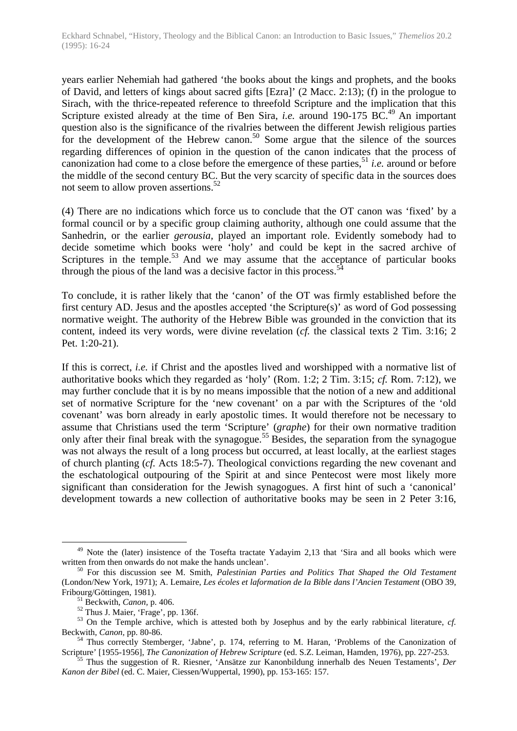years earlier Nehemiah had gathered 'the books about the kings and prophets, and the books of David, and letters of kings about sacred gifts [Ezra]' (2 Macc. 2:13); (f) in the prologue to Sirach, with the thrice-repeated reference to threefold Scripture and the implication that this Scripture existed already at the time of Ben Sira, *i.e.* around 190-175 BC.<sup>49</sup> An important question also is the significance of the rivalries between the different Jewish religious parties for the development of the Hebrew canon.<sup>50</sup> Some argue that the silence of the sources regarding differences of opinion in the question of the canon indicates that the process of canonization had come to a close before the emergence of these parties,<sup>51</sup> *i.e.* around or before the middle of the second century BC. But the very scarcity of specific data in the sources does not seem to allow proven assertions.<sup>52</sup>

(4) There are no indications which force us to conclude that the OT canon was 'fixed' by a formal council or by a specific group claiming authority, although one could assume that the Sanhedrin, or the earlier *gerousia,* played an important role. Evidently somebody had to decide sometime which books were 'holy' and could be kept in the sacred archive of Scriptures in the temple.<sup>53</sup> And we may assume that the acceptance of particular books through the pious of the land was a decisive factor in this process.<sup>54</sup>

To conclude, it is rather likely that the 'canon' of the OT was firmly established before the first century AD. Jesus and the apostles accepted 'the Scripture(s)' as word of God possessing normative weight. The authority of the Hebrew Bible was grounded in the conviction that its content, indeed its very words, were divine revelation (*cf.* the classical texts 2 Tim. 3:16; 2 Pet. 1:20-21).

If this is correct, *i.e.* if Christ and the apostles lived and worshipped with a normative list of authoritative books which they regarded as 'holy' (Rom. 1:2; 2 Tim. 3:15; *cf.* Rom. 7:12), we may further conclude that it is by no means impossible that the notion of a new and additional set of normative Scripture for the 'new covenant' on a par with the Scriptures of the 'old covenant' was born already in early apostolic times. It would therefore not be necessary to assume that Christians used the term 'Scripture' (*graphe*) for their own normative tradition only after their final break with the synagogue.<sup>55</sup> Besides, the separation from the synagogue was not always the result of a long process but occurred, at least locally, at the earliest stages of church planting (*cf.* Acts 18:5-7). Theological convictions regarding the new covenant and the eschatological outpouring of the Spirit at and since Pentecost were most likely more significant than consideration for the Jewish synagogues. A first hint of such a 'canonical' development towards a new collection of authoritative books may be seen in 2 Peter 3:16,

<sup>&</sup>lt;sup>49</sup> Note the (later) insistence of the Tosefta tractate Yadayim 2,13 that 'Sira and all books which were written from then onwards do not make the hands unclean'.

<sup>50</sup> For this discussion see M. Smith, *Palestinian Parties and Politics That Shaped the Old Testament* (London/New York, 1971); A. Lemaire, *Les écoles et laformation de Ia Bible dans l'Ancien Testament* (OBO 39, Fribourg/Göttingen, 1981).

<sup>51</sup> Beckwith, *Canon,* p. 406.

<sup>52</sup> Thus J. Maier, 'Frage', pp. 136f.

<sup>53</sup> On the Temple archive, which is attested both by Josephus and by the early rabbinical literature, *cf.* Beckwith, *Canon,* pp. 80-86.

<sup>&</sup>lt;sup>54</sup> Thus correctly Stemberger, 'Jabne', p. 174, referring to M. Haran, 'Problems of the Canonization of Scripture' [1955-1956], *The Canonization of Hebrew Scripture* (ed. S.Z. Leiman, Hamden, 1976), pp. 227-253.

<sup>55</sup> Thus the suggestion of R. Riesner, 'Ansätze zur Kanonbildung innerhalb des Neuen Testaments', *Der Kanon der Bibel* (ed. C. Maier, Ciessen/Wuppertal, 1990), pp. 153-165: 157.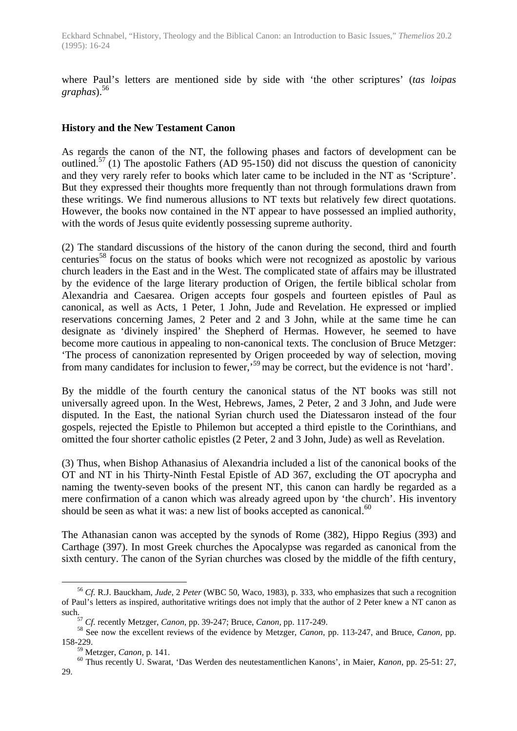where Paul's letters are mentioned side by side with 'the other scriptures' (*tas loipas graphas*).<sup>56</sup>

#### **History and the New Testament Canon**

As regards the canon of the NT, the following phases and factors of development can be outlined.<sup>57</sup> (1) The apostolic Fathers (AD 95-150) did not discuss the question of canonicity and they very rarely refer to books which later came to be included in the NT as 'Scripture'. But they expressed their thoughts more frequently than not through formulations drawn from these writings. We find numerous allusions to NT texts but relatively few direct quotations. However, the books now contained in the NT appear to have possessed an implied authority, with the words of Jesus quite evidently possessing supreme authority.

(2) The standard discussions of the history of the canon during the second, third and fourth centuries<sup>58</sup> focus on the status of books which were not recognized as apostolic by various church leaders in the East and in the West. The complicated state of affairs may be illustrated by the evidence of the large literary production of Origen, the fertile biblical scholar from Alexandria and Caesarea. Origen accepts four gospels and fourteen epistles of Paul as canonical, as well as Acts, 1 Peter, 1 John, Jude and Revelation. He expressed or implied reservations concerning James, 2 Peter and 2 and 3 John, while at the same time he can designate as 'divinely inspired' the Shepherd of Hermas. However, he seemed to have become more cautious in appealing to non-canonical texts. The conclusion of Bruce Metzger: 'The process of canonization represented by Origen proceeded by way of selection, moving from many candidates for inclusion to fewer,'<sup>59</sup> may be correct, but the evidence is not 'hard'.

By the middle of the fourth century the canonical status of the NT books was still not universally agreed upon. In the West, Hebrews, James, 2 Peter, 2 and 3 John, and Jude were disputed. In the East, the national Syrian church used the Diatessaron instead of the four gospels, rejected the Epistle to Philemon but accepted a third epistle to the Corinthians, and omitted the four shorter catholic epistles (2 Peter, 2 and 3 John, Jude) as well as Revelation.

(3) Thus, when Bishop Athanasius of Alexandria included a list of the canonical books of the OT and NT in his Thirty-Ninth Festal Epistle of AD 367, excluding the OT apocrypha and naming the twenty-seven books of the present NT, this canon can hardly be regarded as a mere confirmation of a canon which was already agreed upon by 'the church'. His inventory should be seen as what it was: a new list of books accepted as canonical. $60$ 

The Athanasian canon was accepted by the synods of Rome (382), Hippo Regius (393) and Carthage (397). In most Greek churches the Apocalypse was regarded as canonical from the sixth century. The canon of the Syrian churches was closed by the middle of the fifth century,

<sup>56</sup> *Cf.* R.J. Bauckham, *Jude,* 2 *Peter* (WBC 50, Waco, 1983), p. 333, who emphasizes that such a recognition of Paul's letters as inspired, authoritative writings does not imply that the author of 2 Peter knew a NT canon as such.

<sup>57</sup> *Cf.* recently Metzger, *Canon,* pp. 39-247; Bruce, *Canon,* pp. 117-249.

<sup>58</sup> See now the excellent reviews of the evidence by Metzger, *Canon,* pp. 113-247, and Bruce, *Canon,* pp. 158-229.

<sup>59</sup> Metzger, *Canon,* p. 141.

<sup>60</sup> Thus recently U. Swarat, 'Das Werden des neutestamentlichen Kanons', in Maier, *Kanon,* pp. 25-51: 27, 29.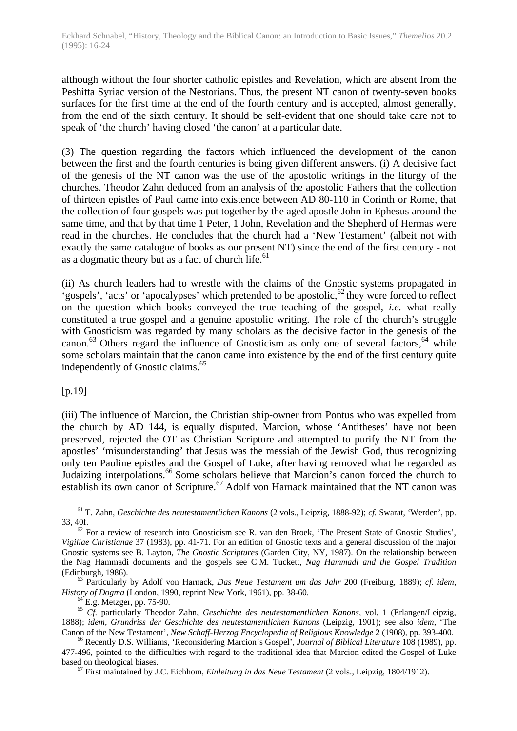although without the four shorter catholic epistles and Revelation, which are absent from the Peshitta Syriac version of the Nestorians. Thus, the present NT canon of twenty-seven books surfaces for the first time at the end of the fourth century and is accepted, almost generally, from the end of the sixth century. It should be self-evident that one should take care not to speak of 'the church' having closed 'the canon' at a particular date.

(3) The question regarding the factors which influenced the development of the canon between the first and the fourth centuries is being given different answers. (i) A decisive fact of the genesis of the NT canon was the use of the apostolic writings in the liturgy of the churches. Theodor Zahn deduced from an analysis of the apostolic Fathers that the collection of thirteen epistles of Paul came into existence between AD 80-110 in Corinth or Rome, that the collection of four gospels was put together by the aged apostle John in Ephesus around the same time, and that by that time 1 Peter, 1 John, Revelation and the Shepherd of Hermas were read in the churches. He concludes that the church had a 'New Testament' (albeit not with exactly the same catalogue of books as our present NT) since the end of the first century - not as a dogmatic theory but as a fact of church life.<sup>61</sup>

(ii) As church leaders had to wrestle with the claims of the Gnostic systems propagated in 'gospels', 'acts' or 'apocalypses' which pretended to be apostolic,  $62$  they were forced to reflect on the question which books conveyed the true teaching of the gospel, *i.e.* what really constituted a true gospel and a genuine apostolic writing. The role of the church's struggle with Gnosticism was regarded by many scholars as the decisive factor in the genesis of the canon.<sup>63</sup> Others regard the influence of Gnosticism as only one of several factors,  $64$  while some scholars maintain that the canon came into existence by the end of the first century quite independently of Gnostic claims.<sup>65</sup>

## [p.19]

 $\overline{a}$ 

(iii) The influence of Marcion, the Christian ship-owner from Pontus who was expelled from the church by AD 144, is equally disputed. Marcion, whose 'Antitheses' have not been preserved, rejected the OT as Christian Scripture and attempted to purify the NT from the apostles' 'misunderstanding' that Jesus was the messiah of the Jewish God, thus recognizing only ten Pauline epistles and the Gospel of Luke, after having removed what he regarded as Judaizing interpolations.<sup>66</sup> Some scholars believe that Marcion's canon forced the church to establish its own canon of Scripture.<sup>67</sup> Adolf von Harnack maintained that the NT canon was

<sup>61</sup> T. Zahn, *Geschichte des neutestamentlichen Kanons* (2 vols., Leipzig, 1888-92); *cf.* Swarat, 'Werden', pp. 33, 40f.

 $62$  For a review of research into Gnosticism see R. van den Broek, 'The Present State of Gnostic Studies', *Vigiliae Christianae* 37 (1983), pp. 41-71. For an edition of Gnostic texts and a general discussion of the major Gnostic systems see B. Layton, *The Gnostic Scriptures* (Garden City, NY, 1987). On the relationship between the Nag Hammadi documents and the gospels see C.M. Tuckett, *Nag Hammadi and the Gospel Tradition* (Edinburgh, 1986).

<sup>63</sup> Particularly by Adolf von Harnack, *Das Neue Testament um das Jahr* 200 (Freiburg, 1889); *cf. idem, History of Dogma* (London, 1990, reprint New York, 1961), pp. 38-60.

<sup>&</sup>lt;sup>64</sup> E.g. Metzger, pp. 75-90.

<sup>65</sup> *Cf.* particularly Theodor Zahn, *Geschichte des neutestamentlichen Kanons,* vol. 1 (Erlangen/Leipzig, 1888); *idem, Grundriss der Geschichte des neutestamentlichen Kanons* (Leipzig, 1901); see also *idem,* 'The Canon of the New Testament', *New Schaff-Herzog Encyclopedia of Religious Knowledge* 2 (1908), pp. 393-400.

<sup>66</sup> Recently D.S. Williams, 'Reconsidering Marcion's Gospel', *Journal of Biblical Literature* 108 (1989), pp. 477-496, pointed to the difficulties with regard to the traditional idea that Marcion edited the Gospel of Luke based on theological biases.

<sup>67</sup> First maintained by J.C. Eichhom, *Einleitung in das Neue Testament* (2 vols., Leipzig, 1804/1912).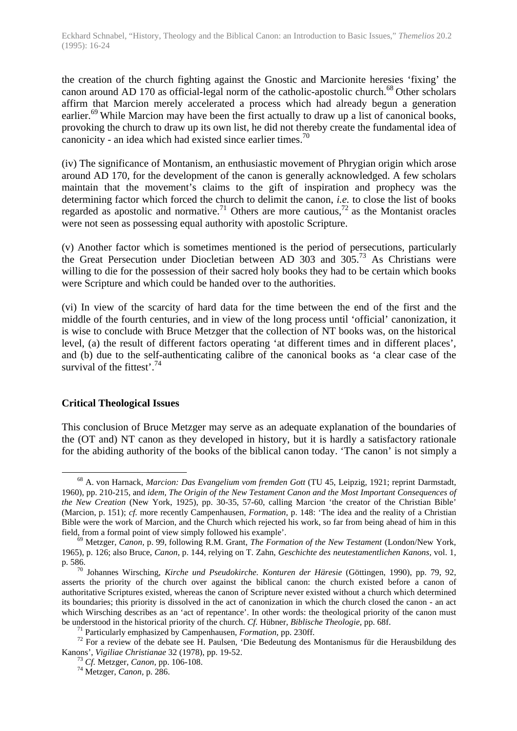the creation of the church fighting against the Gnostic and Marcionite heresies 'fixing' the canon around AD 170 as official-legal norm of the catholic-apostolic church.<sup>68</sup> Other scholars affirm that Marcion merely accelerated a process which had already begun a generation earlier.<sup>69</sup> While Marcion may have been the first actually to draw up a list of canonical books, provoking the church to draw up its own list, he did not thereby create the fundamental idea of canonicity - an idea which had existed since earlier times.<sup>70</sup>

(iv) The significance of Montanism, an enthusiastic movement of Phrygian origin which arose around AD 170, for the development of the canon is generally acknowledged. A few scholars maintain that the movement's claims to the gift of inspiration and prophecy was the determining factor which forced the church to delimit the canon, *i.e.* to close the list of books regarded as apostolic and normative.<sup>71</sup> Others are more cautious,<sup>72</sup> as the Montanist oracles were not seen as possessing equal authority with apostolic Scripture.

(v) Another factor which is sometimes mentioned is the period of persecutions, particularly the Great Persecution under Diocletian between AD 303 and 305.<sup>73</sup> As Christians were willing to die for the possession of their sacred holy books they had to be certain which books were Scripture and which could be handed over to the authorities.

(vi) In view of the scarcity of hard data for the time between the end of the first and the middle of the fourth centuries, and in view of the long process until 'official' canonization, it is wise to conclude with Bruce Metzger that the collection of NT books was, on the historical level, (a) the result of different factors operating 'at different times and in different places', and (b) due to the self-authenticating calibre of the canonical books as 'a clear case of the survival of the fittest'.  $74$ 

## **Critical Theological Issues**

This conclusion of Bruce Metzger may serve as an adequate explanation of the boundaries of the (OT and) NT canon as they developed in history, but it is hardly a satisfactory rationale for the abiding authority of the books of the biblical canon today. 'The canon' is not simply a

 $\overline{a}$ <sup>68</sup> A. von Harnack, *Marcion: Das Evangelium vom fremden Gott* (TU 45, Leipzig, 1921; reprint Darmstadt, 1960), pp. 210-215, and *idem, The Origin of the New Testament Canon and the Most Important Consequences of the New Creation* (New York, 1925), pp. 30-35, 57-60, calling Marcion 'the creator of the Christian Bible' (Marcion, p. 151); *cf.* more recently Campenhausen, *Formation,* p. 148: 'The idea and the reality of a Christian Bible were the work of Marcion, and the Church which rejected his work, so far from being ahead of him in this field, from a formal point of view simply followed his example'.

<sup>69</sup> Metzger, *Canon,* p. 99, following R.M. Grant, *The Formation of the New Testament* (London/New York, 1965), p. 126; also Bruce, *Canon,* p. 144, relying on T. Zahn, *Geschichte des neutestamentlichen Kanons,* vol. 1, p. 586.

<sup>70</sup> Johannes Wirsching, *Kirche und Pseudokirche. Konturen der Häresie* (Göttingen, 1990), pp. 79, 92, asserts the priority of the church over against the biblical canon: the church existed before a canon of authoritative Scriptures existed, whereas the canon of Scripture never existed without a church which determined its boundaries; this priority is dissolved in the act of canonization in which the church closed the canon - an act which Wirsching describes as an 'act of repentance'. In other words: the theological priority of the canon must be understood in the historical priority of the church. *Cf.* Hübner, *Biblische Theologie,* pp. 68f.

<sup>71</sup> Particularly emphasized by Campenhausen, *Formation,* pp. 230ff.

<sup>72</sup> For a review of the debate see H. Paulsen, 'Die Bedeutung des Montanismus für die Herausbildung des Kanons', *Vigiliae Christianae* 32 (1978), pp. 19-52.

<sup>73</sup> *Cf.* Metzger, *Canon,* pp. 106-108.

<sup>74</sup> Metzger, *Canon,* p. 286.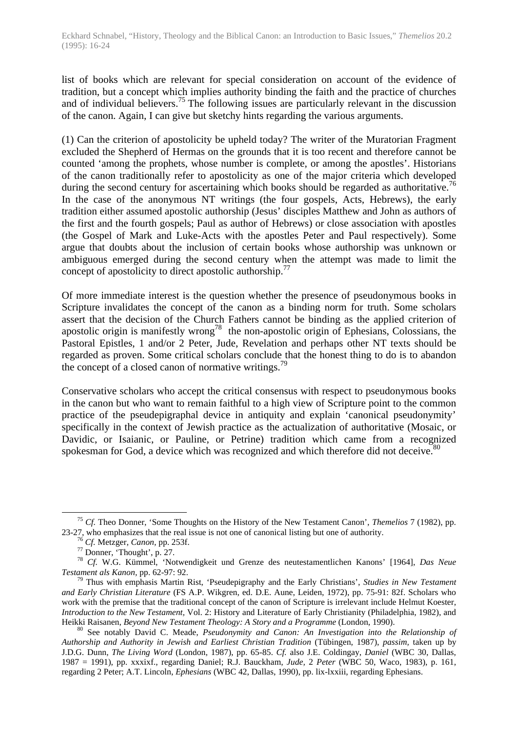list of books which are relevant for special consideration on account of the evidence of tradition, but a concept which implies authority binding the faith and the practice of churches and of individual believers.<sup>75</sup> The following issues are particularly relevant in the discussion of the canon. Again, I can give but sketchy hints regarding the various arguments.

(1) Can the criterion of apostolicity be upheld today? The writer of the Muratorian Fragment excluded the Shepherd of Hermas on the grounds that it is too recent and therefore cannot be counted 'among the prophets, whose number is complete, or among the apostles'. Historians of the canon traditionally refer to apostolicity as one of the major criteria which developed during the second century for ascertaining which books should be regarded as authoritative.<sup>76</sup> In the case of the anonymous NT writings (the four gospels, Acts, Hebrews), the early tradition either assumed apostolic authorship (Jesus' disciples Matthew and John as authors of the first and the fourth gospels; Paul as author of Hebrews) or close association with apostles (the Gospel of Mark and Luke-Acts with the apostles Peter and Paul respectively). Some argue that doubts about the inclusion of certain books whose authorship was unknown or ambiguous emerged during the second century when the attempt was made to limit the concept of apostolicity to direct apostolic authorship.<sup>77</sup>

Of more immediate interest is the question whether the presence of pseudonymous books in Scripture invalidates the concept of the canon as a binding norm for truth. Some scholars assert that the decision of the Church Fathers cannot be binding as the applied criterion of apostolic origin is manifestly wrong<sup>78</sup> the non-apostolic origin of Ephesians, Colossians, the Pastoral Epistles, 1 and/or 2 Peter, Jude, Revelation and perhaps other NT texts should be regarded as proven. Some critical scholars conclude that the honest thing to do is to abandon the concept of a closed canon of normative writings.<sup>79</sup>

Conservative scholars who accept the critical consensus with respect to pseudonymous books in the canon but who want to remain faithful to a high view of Scripture point to the common practice of the pseudepigraphal device in antiquity and explain 'canonical pseudonymity' specifically in the context of Jewish practice as the actualization of authoritative (Mosaic, or Davidic, or Isaianic, or Pauline, or Petrine) tradition which came from a recognized spokesman for God, a device which was recognized and which therefore did not deceive.<sup>80</sup>

<sup>75</sup> *Cf.* Theo Donner, 'Some Thoughts on the History of the New Testament Canon', *Themelios* 7 (1982), pp. 23-27, who emphasizes that the real issue is not one of canonical listing but one of authority.

<sup>76</sup> *Cf.* Metzger, *Canon,* pp. 253f.

<sup>77</sup> Donner, 'Thought', p. 27.

<sup>78</sup> *Cf.* W.G. Kümmel, 'Notwendigkeit und Grenze des neutestamentlichen Kanons' [1964], *Das Neue Testament als Kanon,* pp. 62-97: 92.

<sup>79</sup> Thus with emphasis Martin Rist, 'Pseudepigraphy and the Early Christians', *Studies in New Testament and Early Christian Literature* (FS A.P. Wikgren, ed. D.E. Aune, Leiden, 1972), pp. 75-91: 82f. Scholars who work with the premise that the traditional concept of the canon of Scripture is irrelevant include Helmut Koester, *Introduction to the New Testament,* Vol. 2: History and Literature of Early Christianity (Philadelphia, 1982), and Heikki Raisanen, *Beyond New Testament Theology: A Story and a Programme* (London, 1990).

<sup>80</sup> See notably David C. Meade, *Pseudonymity and Canon: An Investigation into the Relationship of Authorship and Authority in Jewish and Earliest Christian Tradition* (Tübingen, 1987), *passim,* taken up by J.D.G. Dunn, *The Living Word* (London, 1987), pp. 65-85. *Cf.* also J.E. Coldingay, *Daniel* (WBC 30, Dallas, 1987 = 1991), pp. xxxixf., regarding Daniel; R.J. Bauckham, *Jude,* 2 *Peter* (WBC 50, Waco, 1983), p. 161, regarding 2 Peter; A.T. Lincoln, *Ephesians* (WBC 42, Dallas, 1990), pp. lix-lxxiii, regarding Ephesians.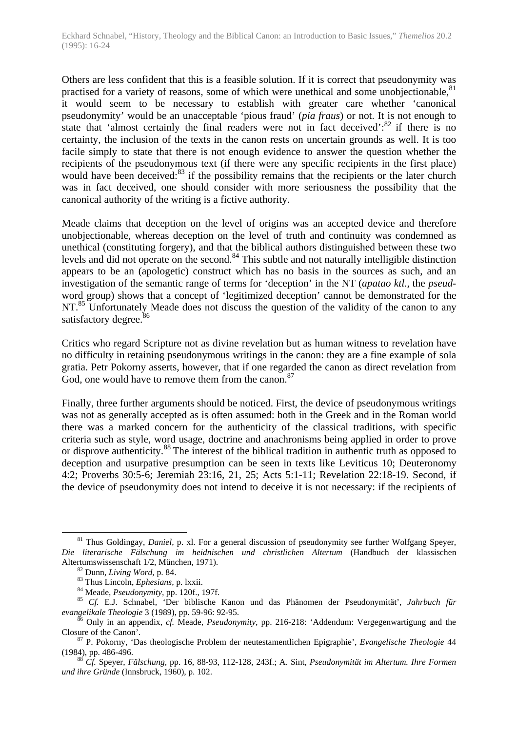Others are less confident that this is a feasible solution. If it is correct that pseudonymity was practised for a variety of reasons, some of which were unethical and some unobjectionable, $81$ it would seem to be necessary to establish with greater care whether 'canonical pseudonymity' would be an unacceptable 'pious fraud' (*pia fraus*) or not. It is not enough to state that 'almost certainly the final readers were not in fact deceived': $82$  if there is no certainty, the inclusion of the texts in the canon rests on uncertain grounds as well. It is too facile simply to state that there is not enough evidence to answer the question whether the recipients of the pseudonymous text (if there were any specific recipients in the first place) would have been deceived:<sup>83</sup> if the possibility remains that the recipients or the later church was in fact deceived, one should consider with more seriousness the possibility that the canonical authority of the writing is a fictive authority.

Meade claims that deception on the level of origins was an accepted device and therefore unobjectionable, whereas deception on the level of truth and continuity was condemned as unethical (constituting forgery), and that the biblical authors distinguished between these two levels and did not operate on the second.<sup>84</sup> This subtle and not naturally intelligible distinction appears to be an (apologetic) construct which has no basis in the sources as such, and an investigation of the semantic range of terms for 'deception' in the NT (*apatao ktl.,* the *pseud*word group) shows that a concept of 'legitimized deception' cannot be demonstrated for the NT.<sup>85</sup> Unfortunately Meade does not discuss the question of the validity of the canon to any satisfactory degree.<sup>86</sup>

Critics who regard Scripture not as divine revelation but as human witness to revelation have no difficulty in retaining pseudonymous writings in the canon: they are a fine example of sola gratia. Petr Pokorny asserts, however, that if one regarded the canon as direct revelation from God, one would have to remove them from the canon.<sup>87</sup>

Finally, three further arguments should be noticed. First, the device of pseudonymous writings was not as generally accepted as is often assumed: both in the Greek and in the Roman world there was a marked concern for the authenticity of the classical traditions, with specific criteria such as style, word usage, doctrine and anachronisms being applied in order to prove or disprove authenticity.<sup>88</sup> The interest of the biblical tradition in authentic truth as opposed to deception and usurpative presumption can be seen in texts like Leviticus 10; Deuteronomy 4:2; Proverbs 30:5-6; Jeremiah 23:16, 21, 25; Acts 5:1-11; Revelation 22:18-19. Second, if the device of pseudonymity does not intend to deceive it is not necessary: if the recipients of

<sup>81</sup> Thus Goldingay, *Daniel,* p. xl. For a general discussion of pseudonymity see further Wolfgang Speyer, *Die literarische Fälschung im heidnischen und christlichen Altertum* (Handbuch der klassischen Altertumswissenschaft 1/2, München, 1971).

<sup>82</sup> Dunn, *Living Word,* p. 84.

<sup>83</sup> Thus Lincoln, *Ephesians,* p. lxxii.

<sup>84</sup> Meade, *Pseudonymity,* pp. 120f., 197f.

<sup>85</sup> *Cf.* E.J. Schnabel, 'Der biblische Kanon und das Phänomen der Pseudonymität', *Jahrbuch für evangelikale Theologie* 3 (1989), pp. 59-96: 92-95.

<sup>86</sup> Only in an appendix, *cf.* Meade, *Pseudonymity,* pp. 216-218: 'Addendum: Vergegenwartigung and the Closure of the Canon'.

<sup>87</sup> P. Pokorny, 'Das theologische Problem der neutestamentlichen Epigraphie', *Evangelische Theologie* 44 (1984), pp. 486-496.

<sup>88</sup> *Cf.* Speyer, *Fälschung,* pp. 16, 88-93, 112-128, 243f.; A. Sint, *Pseudonymität im Altertum. Ihre Formen und ihre Gründe* (Innsbruck, 1960), p. 102.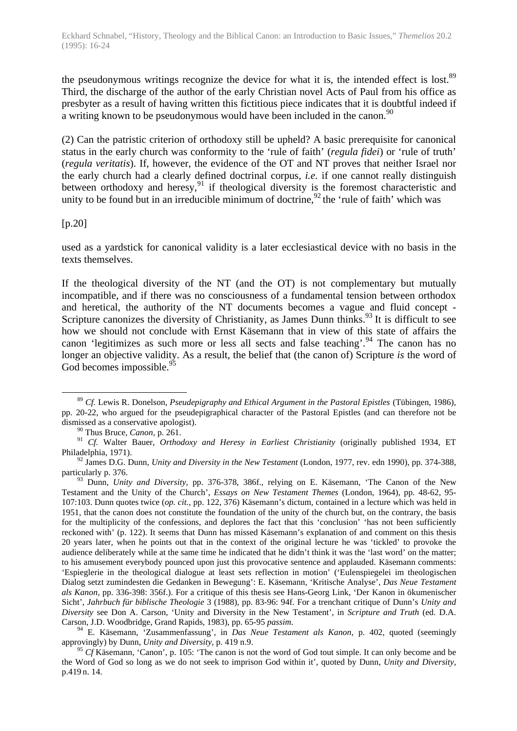the pseudonymous writings recognize the device for what it is, the intended effect is lost.<sup>89</sup> Third, the discharge of the author of the early Christian novel Acts of Paul from his office as presbyter as a result of having written this fictitious piece indicates that it is doubtful indeed if a writing known to be pseudonymous would have been included in the canon.<sup>90</sup>

(2) Can the patristic criterion of orthodoxy still be upheld? A basic prerequisite for canonical status in the early church was conformity to the 'rule of faith' (*regula fidei*) or 'rule of truth' (*regula veritatis*). If, however, the evidence of the OT and NT proves that neither Israel nor the early church had a clearly defined doctrinal corpus, *i.e*. if one cannot really distinguish between orthodoxy and heresy,  $91$  if theological diversity is the foremost characteristic and unity to be found but in an irreducible minimum of doctrine,  $92$  the 'rule of faith' which was

## $[p.20]$

used as a yardstick for canonical validity is a later ecclesiastical device with no basis in the texts themselves.

If the theological diversity of the NT (and the OT) is not complementary but mutually incompatible, and if there was no consciousness of a fundamental tension between orthodox and heretical, the authority of the NT documents becomes a vague and fluid concept - Scripture canonizes the diversity of Christianity, as James Dunn thinks.<sup>93</sup> It is difficult to see how we should not conclude with Ernst Käsemann that in view of this state of affairs the canon 'legitimizes as such more or less all sects and false teaching'.<sup>94</sup> The canon has no longer an objective validity. As a result, the belief that (the canon of) Scripture *is* the word of God becomes impossible.<sup>95</sup>

 $\overline{a}$ <sup>89</sup> *Cf.* Lewis R. Donelson, *Pseudepigraphy and Ethical Argument in the Pastoral Epistles* (Tübingen, 1986), pp. 20-22, who argued for the pseudepigraphical character of the Pastoral Epistles (and can therefore not be dismissed as a conservative apologist).

<sup>90</sup> Thus Bruce, *Canon,* p. 261.

<sup>&</sup>lt;sup>91</sup> *Cf.* Walter Bauer, *Orthodoxy and Heresy in Earliest Christianity* (originally published 1934, ET Philadelphia, 1971).

<sup>92</sup> James D.G. Dunn, *Unity and Diversity in the New Testament* (London, 1977, rev. edn 1990), pp. 374-388, particularly p. 376.

<sup>&</sup>lt;sup>93</sup> Dunn, *Unity and Diversity*, pp. 376-378, 386f., relying on E. Käsemann, 'The Canon of the New Testament and the Unity of the Church', *Essays on New Testament Themes* (London, 1964), pp. 48-62, 95- 107:103. Dunn quotes twice (*op. cit.,* pp. 122, 376) Käsemann's dictum, contained in a lecture which was held in 1951, that the canon does not constitute the foundation of the unity of the church but, on the contrary, the basis for the multiplicity of the confessions, and deplores the fact that this 'conclusion' 'has not been sufficiently reckoned with' (p. 122). It seems that Dunn has missed Käsemann's explanation of and comment on this thesis 20 years later, when he points out that in the context of the original lecture he was 'tickled' to provoke the audience deliberately while at the same time he indicated that he didn't think it was the 'last word' on the matter; to his amusement everybody pounced upon just this provocative sentence and applauded. Käsemann comments: 'Espieglerie in the theological dialogue at least sets reflection in motion' ('Eulenspiegelei im theologischen Dialog setzt zumindesten die Gedanken in Bewegung': E. Käsemann, 'Kritische Analyse', *Das Neue Testament als Kanon,* pp. 336-398: 356f.). For a critique of this thesis see Hans-Georg Link, 'Der Kanon in ökumenischer Sicht', *Jahrbuch für biblische Theologie* 3 (1988), pp. 83-96: 94f. For a trenchant critique of Dunn's *Unity and Diversity* see Don A. Carson, 'Unity and Diversity in the New Testament', in *Scripture and Truth* (ed. D.A. Carson, J.D. Woodbridge, Grand Rapids, 1983), pp. 65-95 *passim.*

<sup>94</sup> E. Käsemann, 'Zusammenfassung', in *Das Neue Testament als Kanon,* p. 402, quoted (seemingly approvingly) by Dunn, *Unity and Diversity,* p. 419 n.9.

<sup>&</sup>lt;sup>95</sup> *Cf* Käsemann, 'Canon', p. 105: 'The canon is not the word of God tout simple. It can only become and be the Word of God so long as we do not seek to imprison God within it', quoted by Dunn, *Unity and Diversity,* p.419 n. 14.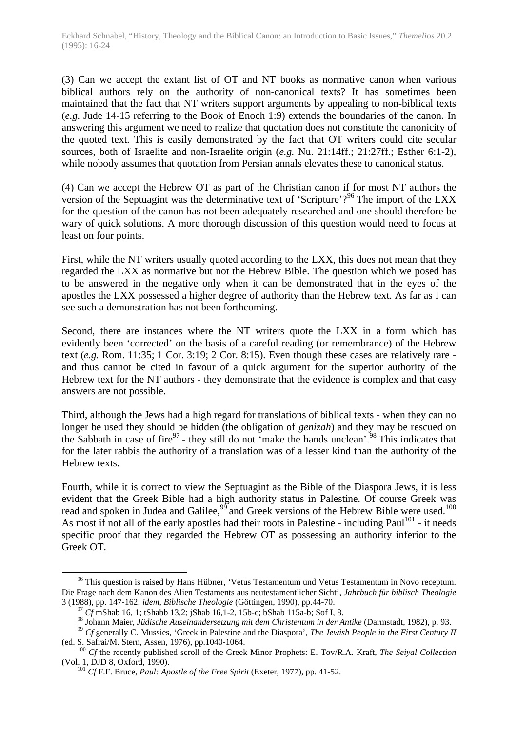(3) Can we accept the extant list of OT and NT books as normative canon when various biblical authors rely on the authority of non-canonical texts? It has sometimes been maintained that the fact that NT writers support arguments by appealing to non-biblical texts (*e.g.* Jude 14-15 referring to the Book of Enoch 1:9) extends the boundaries of the canon. In answering this argument we need to realize that quotation does not constitute the canonicity of the quoted text. This is easily demonstrated by the fact that OT writers could cite secular sources, both of Israelite and non-Israelite origin (*e.g.* Nu. 21:14ff.; 21:27ff.; Esther 6:1-2), while nobody assumes that quotation from Persian annals elevates these to canonical status.

(4) Can we accept the Hebrew OT as part of the Christian canon if for most NT authors the version of the Septuagint was the determinative text of 'Scripture'?<sup>96</sup> The import of the LXX for the question of the canon has not been adequately researched and one should therefore be wary of quick solutions. A more thorough discussion of this question would need to focus at least on four points.

First, while the NT writers usually quoted according to the LXX, this does not mean that they regarded the LXX as normative but not the Hebrew Bible. The question which we posed has to be answered in the negative only when it can be demonstrated that in the eyes of the apostles the LXX possessed a higher degree of authority than the Hebrew text. As far as I can see such a demonstration has not been forthcoming.

Second, there are instances where the NT writers quote the LXX in a form which has evidently been 'corrected' on the basis of a careful reading (or remembrance) of the Hebrew text (*e.g.* Rom. 11:35; 1 Cor. 3:19; 2 Cor. 8:15). Even though these cases are relatively rare and thus cannot be cited in favour of a quick argument for the superior authority of the Hebrew text for the NT authors - they demonstrate that the evidence is complex and that easy answers are not possible.

Third, although the Jews had a high regard for translations of biblical texts - when they can no longer be used they should be hidden (the obligation of *genizah*) and they may be rescued on the Sabbath in case of fire<sup>97</sup> - they still do not 'make the hands unclean'.<sup>98</sup> This indicates that for the later rabbis the authority of a translation was of a lesser kind than the authority of the Hebrew texts.

Fourth, while it is correct to view the Septuagint as the Bible of the Diaspora Jews, it is less evident that the Greek Bible had a high authority status in Palestine. Of course Greek was read and spoken in Judea and Galilee,<sup>99</sup> and Greek versions of the Hebrew Bible were used.<sup>100</sup> As most if not all of the early apostles had their roots in Palestine - including Paul<sup>101</sup> - it needs specific proof that they regarded the Hebrew OT as possessing an authority inferior to the Greek OT.

<sup>&</sup>lt;sup>96</sup> This question is raised by Hans Hübner, 'Vetus Testamentum und Vetus Testamentum in Novo receptum. Die Frage nach dem Kanon des Alien Testaments aus neutestamentlicher Sicht', *Jahrbuch für biblisch Theologie* 3 (1988), pp. 147-162; *idem, Biblische Theologie* (Göttingen, 1990), pp.44-70.

<sup>97</sup> *Cf* mShab 16, 1; tShabb 13,2; jShab 16,1-2, 15b-c; bShab 115a-b; Sof I, 8.

<sup>98</sup> Johann Maier, *Jüdische Auseinandersetzung mit dem Christentum in der Antike* (Darmstadt, 1982), p. 93.

<sup>99</sup> *Cf* generally C. Mussies, 'Greek in Palestine and the Diaspora', *The Jewish People in the First Century II* (ed. S. Safrai/M. Stern, Assen, 1976), pp.1040-1064.

<sup>100</sup> *Cf* the recently published scroll of the Greek Minor Prophets: E. Tov/R.A. Kraft, *The Seiyal Collection* (Vol. 1, DJD 8, Oxford, 1990).

<sup>101</sup> *Cf* F.F. Bruce, *Paul: Apostle of the Free Spirit* (Exeter, 1977), pp. 41-52.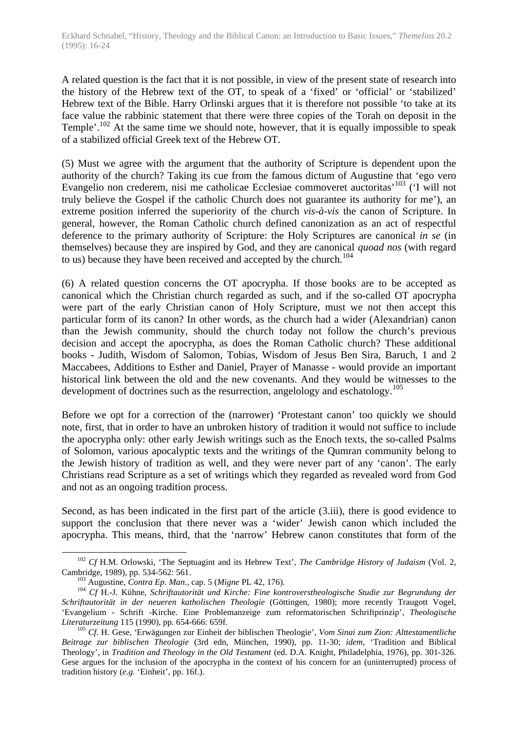A related question is the fact that it is not possible, in view of the present state of research into the history of the Hebrew text of the OT, to speak of a 'fixed' or 'official' or 'stabilized' Hebrew text of the Bible. Harry Orlinski argues that it is therefore not possible 'to take at its face value the rabbinic statement that there were three copies of the Torah on deposit in the Temple'.<sup>102</sup> At the same time we should note, however, that it is equally impossible to speak of a stabilized official Greek text of the Hebrew OT.

(5) Must we agree with the argument that the authority of Scripture is dependent upon the authority of the church? Taking its cue from the famous dictum of Augustine that 'ego vero Evangelio non crederem, nisi me catholicae Ecclesiae commoveret auctoritas'<sup>103</sup> ('I will not truly believe the Gospel if the catholic Church does not guarantee its authority for me'), an extreme position inferred the superiority of the church *vis-à-vis* the canon of Scripture. In general, however, the Roman Catholic church defined canonization as an act of respectful deference to the primary authority of Scripture: the Holy Scriptures are canonical *in se* (in themselves) because they are inspired by God, and they are canonical *quoad nos* (with regard to us) because they have been received and accepted by the church.<sup>104</sup>

(6) A related question concerns the OT apocrypha. If those books are to be accepted as canonical which the Christian church regarded as such, and if the so-called OT apocrypha were part of the early Christian canon of Holy Scripture, must we not then accept this particular form of its canon? In other words, as the church had a wider (Alexandrian) canon than the Jewish community, should the church today not follow the church's previous decision and accept the apocrypha, as does the Roman Catholic church? These additional books - Judith, Wisdom of Salomon, Tobias, Wisdom of Jesus Ben Sira, Baruch, 1 and 2 Maccabees, Additions to Esther and Daniel, Prayer of Manasse - would provide an important historical link between the old and the new covenants. And they would be witnesses to the development of doctrines such as the resurrection, angelology and eschatology.<sup>105</sup>

Before we opt for a correction of the (narrower) 'Protestant canon' too quickly we should note, first, that in order to have an unbroken history of tradition it would not suffice to include the apocrypha only: other early Jewish writings such as the Enoch texts, the so-called Psalms of Solomon, various apocalyptic texts and the writings of the Qumran community belong to the Jewish history of tradition as well, and they were never part of any 'canon'. The early Christians read Scripture as a set of writings which they regarded as revealed word from God and not as an ongoing tradition process.

Second, as has been indicated in the first part of the article (3.iii), there is good evidence to support the conclusion that there never was a 'wider' Jewish canon which included the apocrypha. This means, third, that the 'narrow' Hebrew canon constitutes that form of the

<sup>102</sup> *Cf* H.M. Orlowski, 'The Septuagint and its Hebrew Text', *The Cambridge History of Judaism* (Vol. 2, Cambridge, 1989), pp. 534-562: 561.

<sup>103</sup> Augustine, *Contra Ep. Man.,* cap. 5 (*Migne* PL 42, 176).

<sup>104</sup> *Cf* H.-J. Kühne, *Schriftautorität und Kirche: Fine kontroverstheologische Studie zur Begrundung der Schriftautorität in der neueren katholischen Theologie* (Göttingen, 1980); more recently Traugott Vogel, 'Evangelium - Schrift -Kirche. Eine Problemanzeige zum reformatorischen Schriftprinzip', *Theologische Literaturzeitung* 115 (1990), pp. 654-666: 659f.

<sup>105</sup> *Cf.* H. Gese, 'Erwägungen zur Einheit der biblischen Theologie', *Vom Sinai zum Zion: Alttestamentliche Beitrage zur biblischen Theologie* (3rd edn, München, 1990), pp. 11-30; *idem,* 'Tradition and Biblical Theology', in *Tradition and Theology in the Old Testament* (ed. D.A. Knight, Philadelphia, 1976), pp. 301-326. Gese argues for the inclusion of the apocrypha in the context of his concern for an (uninterrupted) process of tradition history (*e.g.* 'Einheit', pp. 16f.).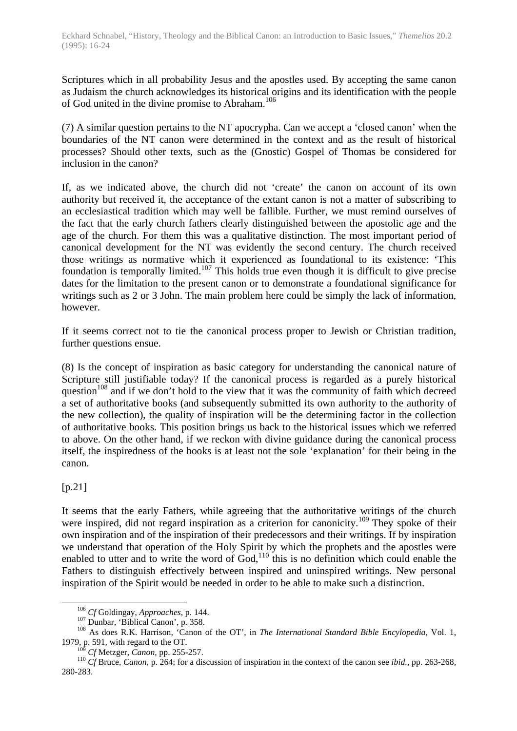Scriptures which in all probability Jesus and the apostles used. By accepting the same canon as Judaism the church acknowledges its historical origins and its identification with the people of God united in the divine promise to Abraham.<sup>106</sup>

(7) A similar question pertains to the NT apocrypha. Can we accept a 'closed canon' when the boundaries of the NT canon were determined in the context and as the result of historical processes? Should other texts, such as the (Gnostic) Gospel of Thomas be considered for inclusion in the canon?

If, as we indicated above, the church did not 'create' the canon on account of its own authority but received it, the acceptance of the extant canon is not a matter of subscribing to an ecclesiastical tradition which may well be fallible. Further, we must remind ourselves of the fact that the early church fathers clearly distinguished between the apostolic age and the age of the church. For them this was a qualitative distinction. The most important period of canonical development for the NT was evidently the second century. The church received those writings as normative which it experienced as foundational to its existence: 'This foundation is temporally limited.<sup>107</sup> This holds true even though it is difficult to give precise dates for the limitation to the present canon or to demonstrate a foundational significance for writings such as 2 or 3 John. The main problem here could be simply the lack of information, however.

If it seems correct not to tie the canonical process proper to Jewish or Christian tradition, further questions ensue.

(8) Is the concept of inspiration as basic category for understanding the canonical nature of Scripture still justifiable today? If the canonical process is regarded as a purely historical question<sup>108</sup> and if we don't hold to the view that it was the community of faith which decreed a set of authoritative books (and subsequently submitted its own authority to the authority of the new collection), the quality of inspiration will be the determining factor in the collection of authoritative books. This position brings us back to the historical issues which we referred to above. On the other hand, if we reckon with divine guidance during the canonical process itself, the inspiredness of the books is at least not the sole 'explanation' for their being in the canon.

[p.21]

 $\overline{a}$ 

It seems that the early Fathers, while agreeing that the authoritative writings of the church were inspired, did not regard inspiration as a criterion for canonicity.<sup>109</sup> They spoke of their own inspiration and of the inspiration of their predecessors and their writings. If by inspiration we understand that operation of the Holy Spirit by which the prophets and the apostles were enabled to utter and to write the word of  $God<sub>1</sub><sup>110</sup>$  this is no definition which could enable the Fathers to distinguish effectively between inspired and uninspired writings. New personal inspiration of the Spirit would be needed in order to be able to make such a distinction.

<sup>106</sup> *Cf* Goldingay, *Approaches,* p. 144.

<sup>&</sup>lt;sup>107</sup> Dunbar, 'Biblical Canon', p. 358.

<sup>108</sup> As does R.K. Harrison, 'Canon of the OT', in *The International Standard Bible Encylopedia,* Vol. 1, 1979, p. 591, with regard to the OT.

<sup>109</sup> *Cf* Metzger, *Canon,* pp. 255-257.

<sup>110</sup> *Cf* Bruce, *Canon,* p. 264; for a discussion of inspiration in the context of the canon see *ibid.,* pp. 263-268, 280-283.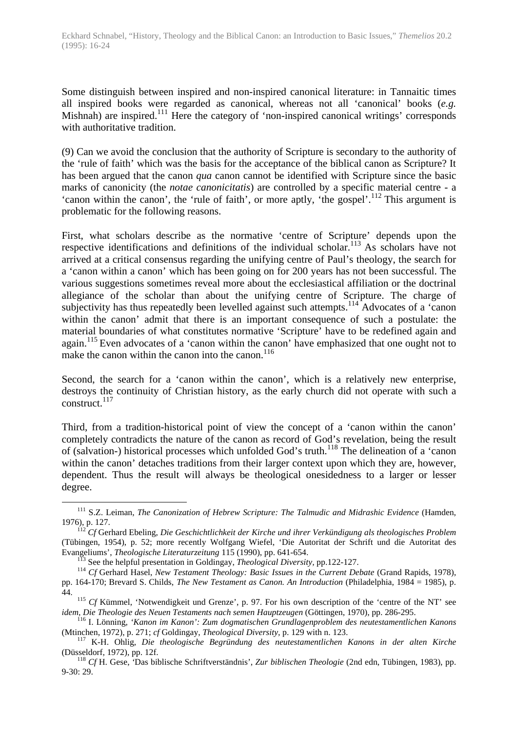Some distinguish between inspired and non-inspired canonical literature: in Tannaitic times all inspired books were regarded as canonical, whereas not all 'canonical' books (*e.g.* Mishnah) are inspired.<sup>111</sup> Here the category of 'non-inspired canonical writings' corresponds with authoritative tradition.

(9) Can we avoid the conclusion that the authority of Scripture is secondary to the authority of the 'rule of faith' which was the basis for the acceptance of the biblical canon as Scripture? It has been argued that the canon *qua* canon cannot be identified with Scripture since the basic marks of canonicity (the *notae canonicitatis*) are controlled by a specific material centre - a 'canon within the canon', the 'rule of faith', or more aptly, 'the gospel'.<sup>112</sup> This argument is problematic for the following reasons.

First, what scholars describe as the normative 'centre of Scripture' depends upon the respective identifications and definitions of the individual scholar.<sup>113</sup> As scholars have not arrived at a critical consensus regarding the unifying centre of Paul's theology, the search for a 'canon within a canon' which has been going on for 200 years has not been successful. The various suggestions sometimes reveal more about the ecclesiastical affiliation or the doctrinal allegiance of the scholar than about the unifying centre of Scripture. The charge of subjectivity has thus repeatedly been levelled against such attempts.<sup>114</sup> Advocates of a 'canon within the canon' admit that there is an important consequence of such a postulate: the material boundaries of what constitutes normative 'Scripture' have to be redefined again and again.<sup>115</sup> Even advocates of a 'canon within the canon' have emphasized that one ought not to make the canon within the canon into the canon. $116$ 

Second, the search for a 'canon within the canon', which is a relatively new enterprise, destroys the continuity of Christian history, as the early church did not operate with such a  $construct.<sup>117</sup>$ 

Third, from a tradition-historical point of view the concept of a 'canon within the canon' completely contradicts the nature of the canon as record of God's revelation, being the result of (salvation-) historical processes which unfolded God's truth.<sup>118</sup> The delineation of a 'canon within the canon' detaches traditions from their larger context upon which they are, however, dependent. Thus the result will always be theological onesidedness to a larger or lesser degree.

<sup>111</sup> S.Z. Leiman, *The Canonization of Hebrew Scripture: The Talmudic and Midrashic Evidence* (Hamden, 1976), p. 127.

<sup>112</sup> *Cf* Gerhard Ebeling, *Die Geschichtlichkeit der Kirche und ihrer Verkündigung als theologisches Problem* (Tübingen, 1954), p. 52; more recently Wolfgang Wiefel, 'Die Autoritat der Schrift und die Autoritat des Evangeliums', *Theologische Literaturzeitung* 115 (1990), pp. 641-654.

<sup>113</sup> See the helpful presentation in Goldingay, *Theological Diversity,* pp.122-127.

<sup>114</sup> *Cf* Gerhard Hasel, *New Testament Theology: Basic Issues in the Current Debate* (Grand Rapids, 1978), pp. 164-170; Brevard S. Childs, *The New Testament as Canon. An Introduction* (Philadelphia, 1984 = 1985), p. 44.

<sup>&</sup>lt;sup>115</sup> *Cf* Kümmel, 'Notwendigkeit und Grenze', p. 97. For his own description of the 'centre of the NT' see *idem, Die Theologie des Neuen Testaments nach semen Hauptzeugen* (Göttingen, 1970), pp. 286-295.

<sup>116</sup> I. Lönning, *'Kanon im Kanon': Zum dogmatischen Grundlagenproblem des neutestamentlichen Kanons* (Mtinchen, 1972), p. 271; *cf* Goldingay, *Theological Diversity,* p. 129 with n. 123.

<sup>117</sup> K-H. Ohlig, *Die theologische Begründung des neutestamentlichen Kanons in der alten Kirche* (Düsseldorf, 1972), pp. 12f.

<sup>118</sup> *Cf* H. Gese, 'Das biblische Schriftverständnis', *Zur biblischen Theologie* (2nd edn, Tübingen, 1983), pp. 9-30: 29.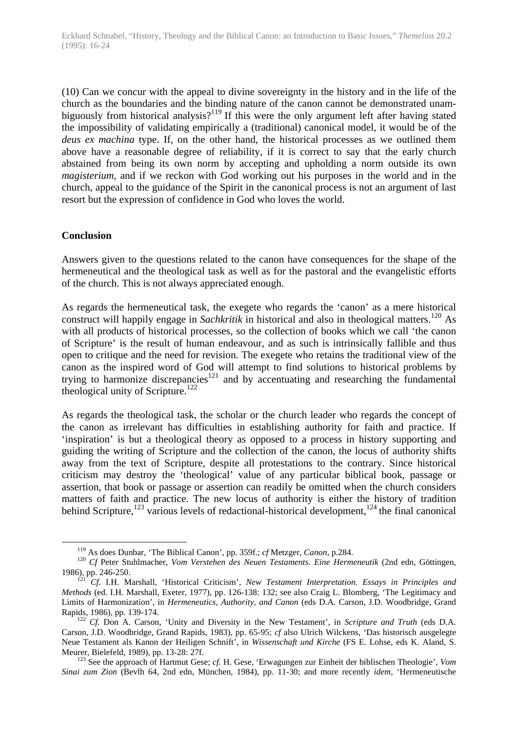(10) Can we concur with the appeal to divine sovereignty in the history and in the life of the church as the boundaries and the binding nature of the canon cannot be demonstrated unambiguously from historical analysis?<sup>119</sup> If this were the only argument left after having stated the impossibility of validating empirically a (traditional) canonical model, it would be of the *deus ex machina* type. If, on the other hand, the historical processes as we outlined them above have a reasonable degree of reliability, if it is correct to say that the early church abstained from being its own norm by accepting and upholding a norm outside its own *magisterium,* and if we reckon with God working out his purposes in the world and in the church, appeal to the guidance of the Spirit in the canonical process is not an argument of last resort but the expression of confidence in God who loves the world.

## **Conclusion**

 $\overline{a}$ 

Answers given to the questions related to the canon have consequences for the shape of the hermeneutical and the theological task as well as for the pastoral and the evangelistic efforts of the church. This is not always appreciated enough.

As regards the hermeneutical task, the exegete who regards the 'canon' as a mere historical construct will happily engage in *Sachkritik* in historical and also in theological matters.<sup>120</sup> As with all products of historical processes, so the collection of books which we call 'the canon of Scripture' is the result of human endeavour, and as such is intrinsically fallible and thus open to critique and the need for revision. The exegete who retains the traditional view of the canon as the inspired word of God will attempt to find solutions to historical problems by trying to harmonize discrepancies<sup>121</sup> and by accentuating and researching the fundamental theological unity of Scripture.<sup>122</sup>

As regards the theological task, the scholar or the church leader who regards the concept of the canon as irrelevant has difficulties in establishing authority for faith and practice. If 'inspiration' is but a theological theory as opposed to a process in history supporting and guiding the writing of Scripture and the collection of the canon, the locus of authority shifts away from the text of Scripture, despite all protestations to the contrary. Since historical criticism may destroy the 'theological' value of any particular biblical book, passage or assertion, that book or passage or assertion can readily be omitted when the church considers matters of faith and practice. The new locus of authority is either the history of tradition behind Scripture,<sup>123</sup> various levels of redactional-historical development,<sup>124</sup> the final canonical

<sup>119</sup> As does Dunbar, 'The Biblical Canon', pp. 359f.; *cf* Metzger, *Canon,* p.284.

<sup>120</sup> *Cf* Peter Stuhlmacher, *Vom Verstehen des Neuen Testaments. Eine Hermeneutik* (2nd edn, Göttingen, 1986), pp. 246-250.

<sup>121</sup> *Cf.* I.H. Marshall, 'Historical Criticism', *New Testament Interpretation. Essays in Principles and Methods* (ed. I.H. Marshall, Exeter, 1977), pp. 126-138: 132; see also Craig L. Blomberg, 'The Legitimacy and Limits of Harmonization', in *Hermeneutics, Authority, and Canon* (eds D.A. Carson, J.D. Woodbridge, Grand Rapids, 1986), pp. 139-174.

<sup>122</sup> *Cf.* Don A. Carson, 'Unity and Diversity in the New Testament', in *Scripture and Truth* (eds D.A. Carson, J.D. Woodbridge, Grand Rapids, 1983), pp. 65-95; *cf* also Ulrich Wilckens, 'Das historisch ausgelegte Neue Testament als Kanon der Heiligen Schnift', in *Wissenschaft und Kirche* (FS E. Lohse, eds K. Aland, S. Meurer, Bielefeld, 1989), pp. 13-28: 27f.

<sup>123</sup> See the approach of Hartmut Gese; *cf.* H. Gese, 'Erwagungen zur Einheit der biblischen Theologie', *Vom Sinai zum Zion* (Bevlh 64, 2nd edn, München, 1984), pp. 11-30; and more recently *idem,* 'Hermeneutische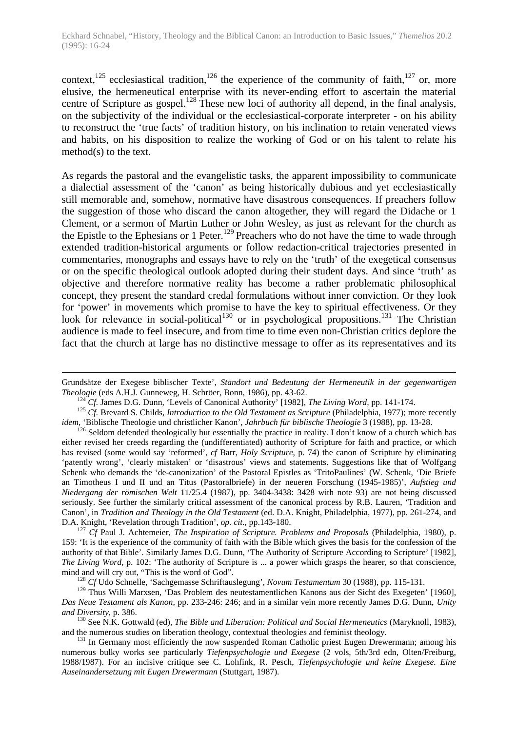context,<sup>125</sup> ecclesiastical tradition,<sup>126</sup> the experience of the community of faith,<sup>127</sup> or, more elusive, the hermeneutical enterprise with its never-ending effort to ascertain the material centre of Scripture as gospel.<sup>128</sup> These new loci of authority all depend, in the final analysis, on the subjectivity of the individual or the ecclesiastical-corporate interpreter - on his ability to reconstruct the 'true facts' of tradition history, on his inclination to retain venerated views and habits, on his disposition to realize the working of God or on his talent to relate his method(s) to the text.

As regards the pastoral and the evangelistic tasks, the apparent impossibility to communicate a dialectial assessment of the 'canon' as being historically dubious and yet ecclesiastically still memorable and, somehow, normative have disastrous consequences. If preachers follow the suggestion of those who discard the canon altogether, they will regard the Didache or 1 Clement, or a sermon of Martin Luther or John Wesley, as just as relevant for the church as the Epistle to the Ephesians or 1 Peter.<sup>129</sup> Preachers who do not have the time to wade through extended tradition-historical arguments or follow redaction-critical trajectories presented in commentaries, monographs and essays have to rely on the 'truth' of the exegetical consensus or on the specific theological outlook adopted during their student days. And since 'truth' as objective and therefore normative reality has become a rather problematic philosophical concept, they present the standard credal formulations without inner conviction. Or they look for 'power' in movements which promise to have the key to spiritual effectiveness. Or they look for relevance in social-political<sup>130</sup> or in psychological propositions.<sup>131</sup> The Christian audience is made to feel insecure, and from time to time even non-Christian critics deplore the fact that the church at large has no distinctive message to offer as its representatives and its

Grundsätze der Exegese biblischer Texte', *Standort und Bedeutung der Hermeneutik in der gegenwartigen Theologie* (eds A.H.J. Gunneweg, H. Schröer, Bonn, 1986), pp. 43-62.

<sup>124</sup> *Cf.* James D.G. Dunn, 'Levels of Canonical Authority' [1982], *The Living Word,* pp. 141-174.

<sup>&</sup>lt;sup>125</sup> *Cf.* Brevard S. Childs, *Introduction to the Old Testament as Scripture* (Philadelphia, 1977); more recently *idem,* 'Biblische Theologie und christlicher Kanon', *Jahrbuch für biblische Theologie* 3 (1988), pp. 13-28.

<sup>&</sup>lt;sup>126</sup> Seldom defended theologically but essentially the practice in reality. I don't know of a church which has either revised her creeds regarding the (undifferentiated) authority of Scripture for faith and practice, or which has revised (some would say 'reformed', *cf* Barr, *Holy Scripture,* p. 74) the canon of Scripture by eliminating 'patently wrong', 'clearly mistaken' or 'disastrous' views and statements. Suggestions like that of Wolfgang Schenk who demands the 'de-canonization' of the Pastoral Epistles as 'TritoPaulines' (W. Schenk, 'Die Briefe an Timotheus I und II und an Titus (Pastoralbriefe) in der neueren Forschung (1945-1985)', *Aufstieg und Niedergang der römischen Welt* 11/25.4 (1987), pp. 3404-3438: 3428 with note 93) are not being discussed seriously. See further the similarly critical assessment of the canonical process by R.B. Lauren, 'Tradition and Canon', in *Tradition and Theology in the Old Testament* (ed. D.A. Knight, Philadelphia, 1977), pp. 261-274, and D.A. Knight, 'Revelation through Tradition', *op. cit.,* pp.143-180.

<sup>127</sup> *Cf* Paul J. Achtemeier, *The Inspiration of Scripture. Problems and Proposals* (Philadelphia, 1980), p. 159: 'It is the experience of the community of faith with the Bible which gives the basis for the confession of the authority of that Bible'. Similarly James D.G. Dunn, 'The Authority of Scripture According to Scripture' [1982], *The Living Word,* p. 102: 'The authority of Scripture is ... a power which grasps the hearer, so that conscience, mind and will cry out, "This is the word of God".

<sup>128</sup> *Cf* Udo Schnelle, 'Sachgemasse Schriftauslegung', *Novum Testamentum* 30 (1988), pp. 115-131.

<sup>&</sup>lt;sup>129</sup> Thus Willi Marxsen, 'Das Problem des neutestamentlichen Kanons aus der Sicht des Exegeten' [1960], *Das Neue Testament als Kanon,* pp. 233-246: 246; and in a similar vein more recently James D.G. Dunn, *Unity and Diversity,* p. 386.

<sup>130</sup> See N.K. Gottwald (ed), *The Bible and Liberation: Political and Social Hermeneutics* (Maryknoll, 1983), and the numerous studies on liberation theology, contextual theologies and feminist theology.

<sup>&</sup>lt;sup>131</sup> In Germany most efficiently the now suspended Roman Catholic priest Eugen Drewermann; among his numerous bulky works see particularly *Tiefenpsychologie und Exegese* (2 vols, 5th/3rd edn, Olten/Freiburg, 1988/1987). For an incisive critique see C. Lohfink, R. Pesch, *Tiefenpsychologie und keine Exegese. Eine Auseinandersetzung mit Eugen Drewermann* (Stuttgart, 1987).